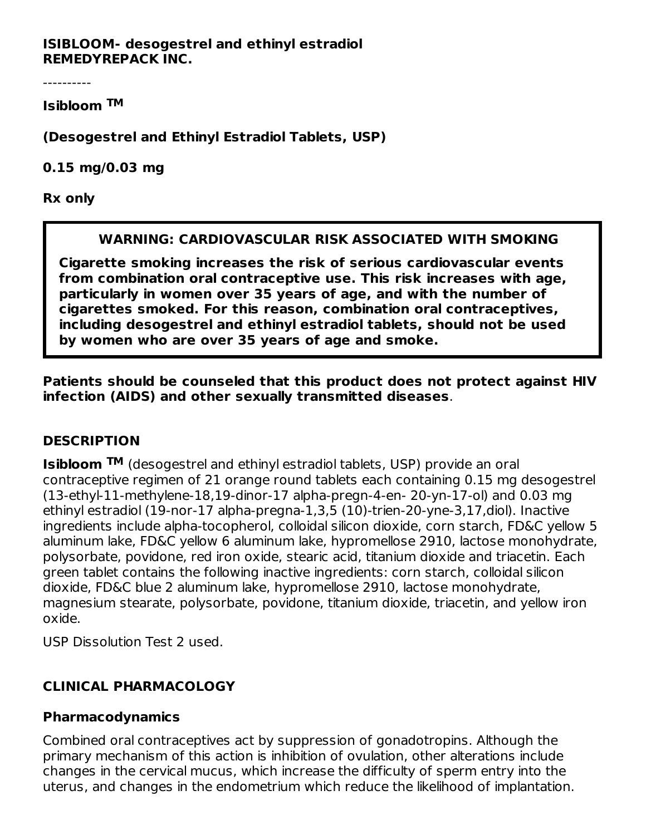**ISIBLOOM- desogestrel and ethinyl estradiol REMEDYREPACK INC.**

----------

**Isibloom TM**

**(Desogestrel and Ethinyl Estradiol Tablets, USP)**

**0.15 mg/0.03 mg**

**Rx only**

#### **WARNING: CARDIOVASCULAR RISK ASSOCIATED WITH SMOKING**

**Cigarette smoking increases the risk of serious cardiovascular events from combination oral contraceptive use. This risk increases with age, particularly in women over 35 years of age, and with the number of cigarettes smoked. For this reason, combination oral contraceptives, including desogestrel and ethinyl estradiol tablets, should not be used by women who are over 35 years of age and smoke.**

**Patients should be counseled that this product does not protect against HIV infection (AIDS) and other sexually transmitted diseases**.

#### **DESCRIPTION**

Isibloom TM (desogestrel and ethinyl estradiol tablets, USP) provide an oral contraceptive regimen of 21 orange round tablets each containing 0.15 mg desogestrel (13-ethyl-11-methylene-18,19-dinor-17 alpha-pregn-4-en- 20-yn-17-ol) and 0.03 mg ethinyl estradiol (19-nor-17 alpha-pregna-1,3,5 (10)-trien-20-yne-3,17,diol). Inactive ingredients include alpha-tocopherol, colloidal silicon dioxide, corn starch, FD&C yellow 5 aluminum lake, FD&C yellow 6 aluminum lake, hypromellose 2910, lactose monohydrate, polysorbate, povidone, red iron oxide, stearic acid, titanium dioxide and triacetin. Each green tablet contains the following inactive ingredients: corn starch, colloidal silicon dioxide, FD&C blue 2 aluminum lake, hypromellose 2910, lactose monohydrate, magnesium stearate, polysorbate, povidone, titanium dioxide, triacetin, and yellow iron oxide.

USP Dissolution Test 2 used.

#### **CLINICAL PHARMACOLOGY**

#### **Pharmacodynamics**

Combined oral contraceptives act by suppression of gonadotropins. Although the primary mechanism of this action is inhibition of ovulation, other alterations include changes in the cervical mucus, which increase the difficulty of sperm entry into the uterus, and changes in the endometrium which reduce the likelihood of implantation.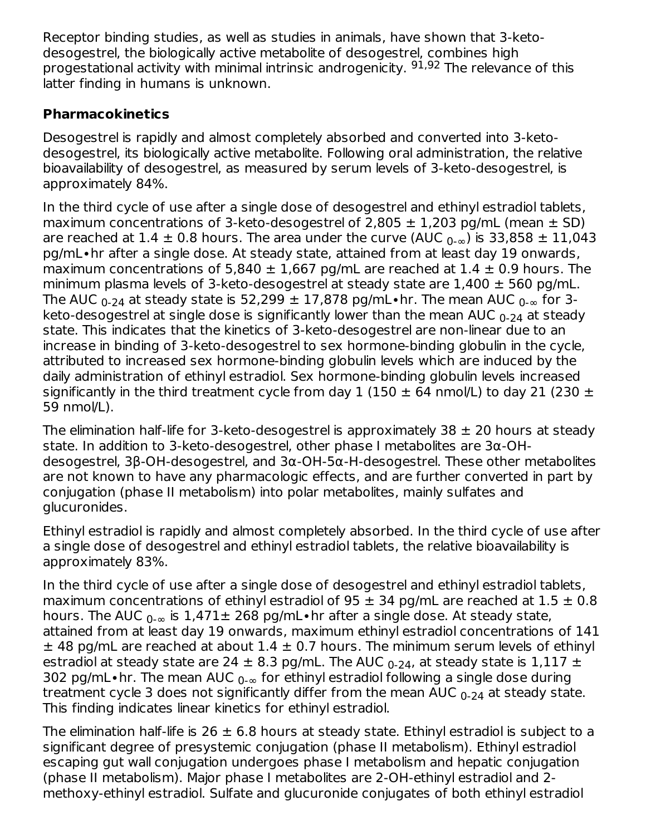Receptor binding studies, as well as studies in animals, have shown that 3-ketodesogestrel, the biologically active metabolite of desogestrel, combines high progestational activity with minimal intrinsic androgenicity. <sup>91,92</sup> The relevance of this latter finding in humans is unknown.

### **Pharmacokinetics**

Desogestrel is rapidly and almost completely absorbed and converted into 3-ketodesogestrel, its biologically active metabolite. Following oral administration, the relative bioavailability of desogestrel, as measured by serum levels of 3-keto-desogestrel, is approximately 84%.

In the third cycle of use after a single dose of desogestrel and ethinyl estradiol tablets, maximum concentrations of 3-keto-desogestrel of 2,805  $\pm$  1,203 pg/mL (mean  $\pm$  SD) are reached at  $1.4\pm0.8$  hours. The area under the curve (AUC  $_{0\text{-}\infty}$ ) is 33,858  $\pm$   $11,043$ pg/mL∙hr after a single dose. At steady state, attained from at least day 19 onwards, maximum concentrations of 5,840  $\pm$  1,667 pg/mL are reached at 1.4  $\pm$  0.9 hours. The minimum plasma levels of 3-keto-desogestrel at steady state are  $1,400 \pm 560$  pg/mL. The AUC  $_{\rm 0\text{-}24}$  at steady state is 52,299  $\pm$  17,878 pg/mL•hr. The mean AUC  $_{\rm 0\text{-}x}$  for 3keto-desogestrel at single dose is significantly lower than the mean AUC  $_{\rm 0\text{-}24}$  at steady state. This indicates that the kinetics of 3-keto-desogestrel are non-linear due to an increase in binding of 3-keto-desogestrel to sex hormone-binding globulin in the cycle, attributed to increased sex hormone-binding globulin levels which are induced by the daily administration of ethinyl estradiol. Sex hormone-binding globulin levels increased significantly in the third treatment cycle from day 1 (150  $\pm$  64 nmol/L) to day 21 (230  $\pm$ 59 nmol/L).

The elimination half-life for 3-keto-desogestrel is approximately 38  $\pm$  20 hours at steady state. In addition to 3-keto-desogestrel, other phase I metabolites are 3α-OHdesogestrel, 3β-OH-desogestrel, and 3α-OH-5α-H-desogestrel. These other metabolites are not known to have any pharmacologic effects, and are further converted in part by conjugation (phase II metabolism) into polar metabolites, mainly sulfates and glucuronides.

Ethinyl estradiol is rapidly and almost completely absorbed. In the third cycle of use after a single dose of desogestrel and ethinyl estradiol tablets, the relative bioavailability is approximately 83%.

In the third cycle of use after a single dose of desogestrel and ethinyl estradiol tablets, maximum concentrations of ethinyl estradiol of 95  $\pm$  34 pg/mL are reached at 1.5  $\pm$  0.8 hours. The AUC  $_{0\text{-}\infty}$  is 1,471 $\pm$  268 pg/mL•hr after a single dose. At steady state, attained from at least day 19 onwards, maximum ethinyl estradiol concentrations of 141  $\pm$  48 pg/mL are reached at about 1.4  $\pm$  0.7 hours. The minimum serum levels of ethinyl estradiol at steady state are 24  $\pm$  8.3 pg/mL. The AUC  $_{0\text{-}24}$ , at steady state is 1,117  $\pm$ 302 pg/mL•hr. The mean AUC  $_{0\text{-}}\infty$  for ethinyl estradiol following a single dose during treatment cycle 3 does not significantly differ from the mean AUC  $_{\rm 0\text{-}24}$  at steady state. This finding indicates linear kinetics for ethinyl estradiol.

The elimination half-life is 26  $\pm$  6.8 hours at steady state. Ethinyl estradiol is subject to a significant degree of presystemic conjugation (phase II metabolism). Ethinyl estradiol escaping gut wall conjugation undergoes phase I metabolism and hepatic conjugation (phase II metabolism). Major phase I metabolites are 2-OH-ethinyl estradiol and 2 methoxy-ethinyl estradiol. Sulfate and glucuronide conjugates of both ethinyl estradiol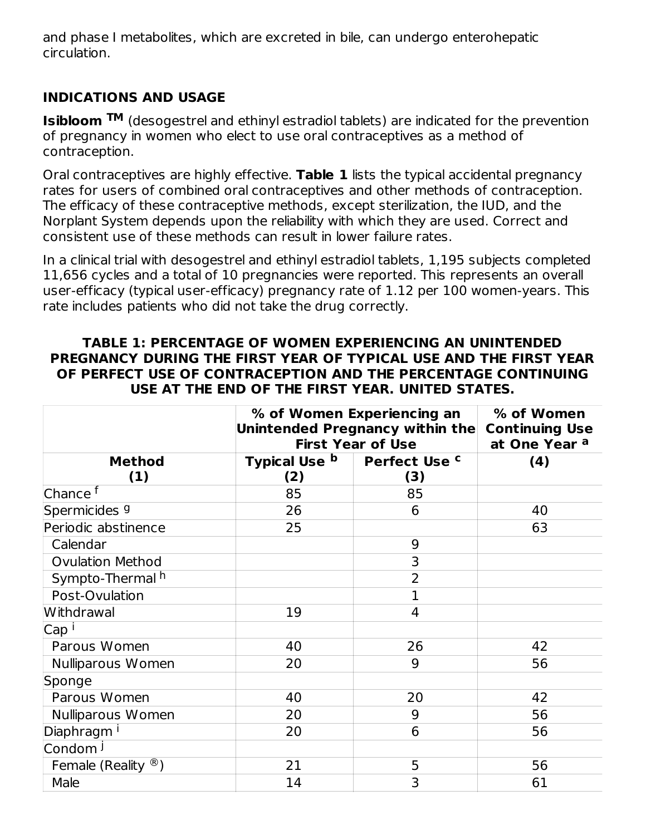and phase I metabolites, which are excreted in bile, can undergo enterohepatic circulation.

### **INDICATIONS AND USAGE**

Isibloom TM (desogestrel and ethinyl estradiol tablets) are indicated for the prevention of pregnancy in women who elect to use oral contraceptives as a method of contraception.

Oral contraceptives are highly effective. **Table 1** lists the typical accidental pregnancy rates for users of combined oral contraceptives and other methods of contraception. The efficacy of these contraceptive methods, except sterilization, the IUD, and the Norplant System depends upon the reliability with which they are used. Correct and consistent use of these methods can result in lower failure rates.

In a clinical trial with desogestrel and ethinyl estradiol tablets, 1,195 subjects completed 11,656 cycles and a total of 10 pregnancies were reported. This represents an overall user-efficacy (typical user-efficacy) pregnancy rate of 1.12 per 100 women-years. This rate includes patients who did not take the drug correctly.

#### **TABLE 1: PERCENTAGE OF WOMEN EXPERIENCING AN UNINTENDED PREGNANCY DURING THE FIRST YEAR OF TYPICAL USE AND THE FIRST YEAR OF PERFECT USE OF CONTRACEPTION AND THE PERCENTAGE CONTINUING USE AT THE END OF THE FIRST YEAR. UNITED STATES.**

|                                 | % of Women Experiencing an<br>Unintended Pregnancy within the<br><b>First Year of Use</b> | % of Women<br><b>Continuing Use</b><br>at One Year <sup>a</sup> |     |  |
|---------------------------------|-------------------------------------------------------------------------------------------|-----------------------------------------------------------------|-----|--|
| <b>Method</b><br>(1)            | <b>Typical Use b</b><br>(2)                                                               | Perfect Use c<br>(3)                                            | (4) |  |
| Chance <sup>F</sup>             | 85                                                                                        | 85                                                              |     |  |
| Spermicides 9                   | 26                                                                                        | 6                                                               | 40  |  |
| Periodic abstinence             | 25                                                                                        |                                                                 | 63  |  |
| Calendar                        |                                                                                           | 9                                                               |     |  |
| <b>Ovulation Method</b>         |                                                                                           | 3                                                               |     |  |
| Sympto-Thermal h                |                                                                                           | $\overline{2}$                                                  |     |  |
| Post-Ovulation                  |                                                                                           | 1                                                               |     |  |
| Withdrawal                      | 19                                                                                        | $\overline{4}$                                                  |     |  |
| Cap i                           |                                                                                           |                                                                 |     |  |
| Parous Women                    | 40                                                                                        | 26                                                              | 42  |  |
| Nulliparous Women               | 20                                                                                        | 9                                                               | 56  |  |
| Sponge                          |                                                                                           |                                                                 |     |  |
| Parous Women                    | 40                                                                                        | 20                                                              | 42  |  |
| Nulliparous Women               | 20                                                                                        | 9                                                               | 56  |  |
| Diaphragm <sup>i</sup>          | 20                                                                                        | 6                                                               | 56  |  |
| Condom J                        |                                                                                           |                                                                 |     |  |
| Female (Reality $\mathcal{B}$ ) | 21                                                                                        | 5                                                               | 56  |  |
| Male                            | 14                                                                                        | 3                                                               | 61  |  |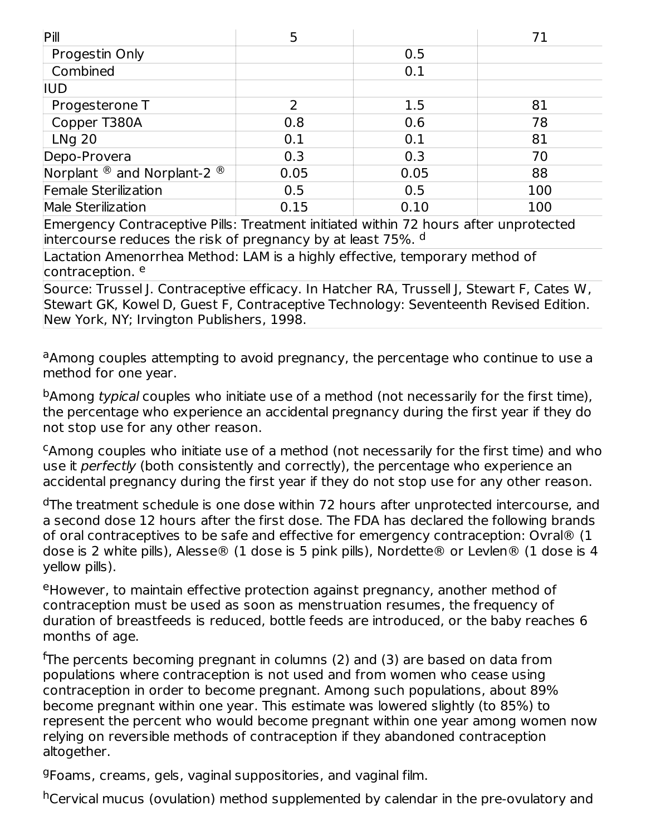| Pill                                                | 5    |      | 71  |
|-----------------------------------------------------|------|------|-----|
| Progestin Only                                      |      | 0.5  |     |
| Combined                                            |      | 0.1  |     |
| <b>IUD</b>                                          |      |      |     |
| Progesterone T                                      | 2    | 1.5  | 81  |
| Copper T380A                                        | 0.8  | 0.6  | 78  |
| <b>LNg 20</b>                                       | 0.1  | 0.1  | 81  |
| Depo-Provera                                        | 0.3  | 0.3  | 70  |
| Norplant $\mathcal{B}$ and Norplant-2 $\mathcal{B}$ | 0.05 | 0.05 | 88  |
| <b>Female Sterilization</b>                         | 0.5  | 0.5  | 100 |
| Male Sterilization                                  | 0.15 | 0.10 | 100 |
|                                                     | .    |      |     |

Emergency Contraceptive Pills: Treatment initiated within 72 hours after unprotected intercourse reduces the risk of pregnancy by at least 75%. <sup>d</sup>

Lactation Amenorrhea Method: LAM is a highly effective, temporary method of contraception.<sup>e</sup>

Source: Trussel J. Contraceptive efficacy. In Hatcher RA, Trussell J, Stewart F, Cates W, Stewart GK, Kowel D, Guest F, Contraceptive Technology: Seventeenth Revised Edition. New York, NY; Irvington Publishers, 1998.

<sup>a</sup>Among couples attempting to avoid pregnancy, the percentage who continue to use a method for one year.

<sup>b</sup>Among *typical* couples who initiate use of a method (not necessarily for the first time), the percentage who experience an accidental pregnancy during the first year if they do not stop use for any other reason.

<sup>c</sup>Among couples who initiate use of a method (not necessarily for the first time) and who use it perfectly (both consistently and correctly), the percentage who experience an accidental pregnancy during the first year if they do not stop use for any other reason.

<sup>d</sup>The treatment schedule is one dose within 72 hours after unprotected intercourse, and a second dose 12 hours after the first dose. The FDA has declared the following brands of oral contraceptives to be safe and effective for emergency contraception: Ovral® (1 dose is 2 white pills), Alesse® (1 dose is 5 pink pills), Nordette® or Levlen® (1 dose is 4 yellow pills).

eHowever, to maintain effective protection against pregnancy, another method of contraception must be used as soon as menstruation resumes, the frequency of duration of breastfeeds is reduced, bottle feeds are introduced, or the baby reaches 6 months of age.

The percents becoming pregnant in columns (2) and (3) are based on data from f populations where contraception is not used and from women who cease using contraception in order to become pregnant. Among such populations, about 89% become pregnant within one year. This estimate was lowered slightly (to 85%) to represent the percent who would become pregnant within one year among women now relying on reversible methods of contraception if they abandoned contraception altogether.

<sup>g</sup>Foams, creams, gels, vaginal suppositories, and vaginal film.

hCervical mucus (ovulation) method supplemented by calendar in the pre-ovulatory and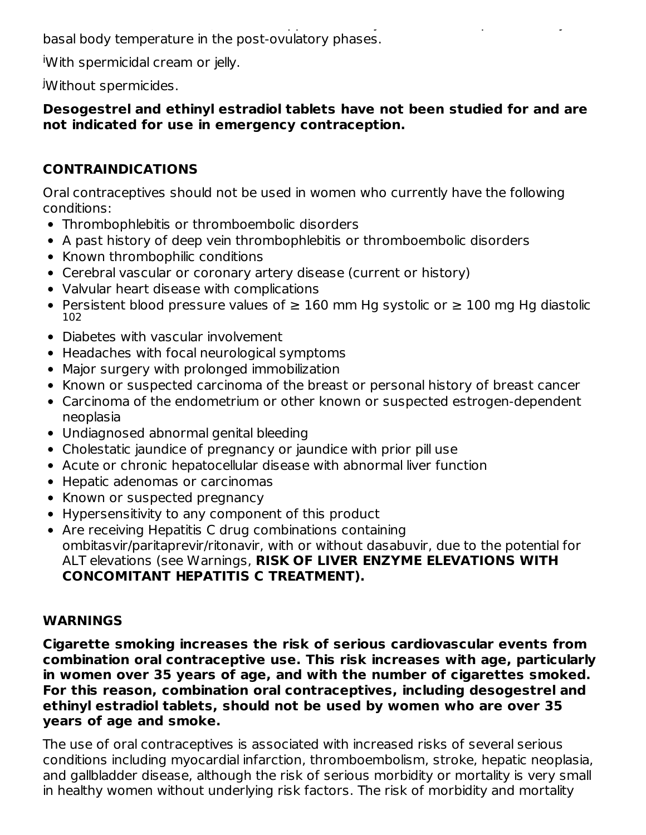Cervical mucus (ovulation) method supplemented by calendar in the pre-ovulatory and basal body temperature in the post-ovulatory phases.

<sup>i</sup>With spermicidal cream or jelly.

<sup>j</sup>Without spermicides.

#### **Desogestrel and ethinyl estradiol tablets have not been studied for and are not indicated for use in emergency contraception.**

## **CONTRAINDICATIONS**

Oral contraceptives should not be used in women who currently have the following conditions:

- Thrombophlebitis or thromboembolic disorders
- A past history of deep vein thrombophlebitis or thromboembolic disorders
- Known thrombophilic conditions
- Cerebral vascular or coronary artery disease (current or history)
- Valvular heart disease with complications
- Persistent blood pressure values of  $\geq 160$  mm Hg systolic or  $\geq 100$  mg Hg diastolic 102
- Diabetes with vascular involvement
- Headaches with focal neurological symptoms
- Major surgery with prolonged immobilization
- Known or suspected carcinoma of the breast or personal history of breast cancer
- Carcinoma of the endometrium or other known or suspected estrogen-dependent neoplasia
- Undiagnosed abnormal genital bleeding
- Cholestatic jaundice of pregnancy or jaundice with prior pill use
- Acute or chronic hepatocellular disease with abnormal liver function
- Hepatic adenomas or carcinomas
- Known or suspected pregnancy
- Hypersensitivity to any component of this product
- Are receiving Hepatitis C drug combinations containing ombitasvir/paritaprevir/ritonavir, with or without dasabuvir, due to the potential for ALT elevations (see Warnings, **RISK OF LIVER ENZYME ELEVATIONS WITH CONCOMITANT HEPATITIS C TREATMENT).**

### **WARNINGS**

**Cigarette smoking increases the risk of serious cardiovascular events from combination oral contraceptive use. This risk increases with age, particularly in women over 35 years of age, and with the number of cigarettes smoked. For this reason, combination oral contraceptives, including desogestrel and ethinyl estradiol tablets, should not be used by women who are over 35 years of age and smoke.**

The use of oral contraceptives is associated with increased risks of several serious conditions including myocardial infarction, thromboembolism, stroke, hepatic neoplasia, and gallbladder disease, although the risk of serious morbidity or mortality is very small in healthy women without underlying risk factors. The risk of morbidity and mortality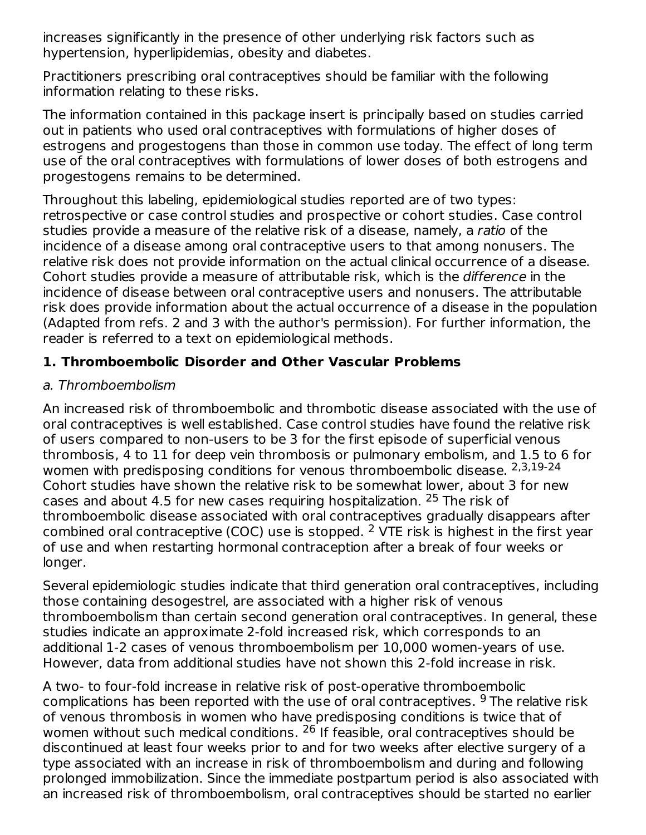increases significantly in the presence of other underlying risk factors such as hypertension, hyperlipidemias, obesity and diabetes.

Practitioners prescribing oral contraceptives should be familiar with the following information relating to these risks.

The information contained in this package insert is principally based on studies carried out in patients who used oral contraceptives with formulations of higher doses of estrogens and progestogens than those in common use today. The effect of long term use of the oral contraceptives with formulations of lower doses of both estrogens and progestogens remains to be determined.

Throughout this labeling, epidemiological studies reported are of two types: retrospective or case control studies and prospective or cohort studies. Case control studies provide a measure of the relative risk of a disease, namely, a ratio of the incidence of a disease among oral contraceptive users to that among nonusers. The relative risk does not provide information on the actual clinical occurrence of a disease. Cohort studies provide a measure of attributable risk, which is the difference in the incidence of disease between oral contraceptive users and nonusers. The attributable risk does provide information about the actual occurrence of a disease in the population (Adapted from refs. 2 and 3 with the author's permission). For further information, the reader is referred to a text on epidemiological methods.

### **1. Thromboembolic Disorder and Other Vascular Problems**

### a. Thromboembolism

An increased risk of thromboembolic and thrombotic disease associated with the use of oral contraceptives is well established. Case control studies have found the relative risk of users compared to non-users to be 3 for the first episode of superficial venous thrombosis, 4 to 11 for deep vein thrombosis or pulmonary embolism, and 1.5 to 6 for women with predisposing conditions for venous thromboembolic disease. 2,3,19-24 Cohort studies have shown the relative risk to be somewhat lower, about 3 for new cases and about 4.5 for new cases requiring hospitalization. <sup>25</sup> The risk of thromboembolic disease associated with oral contraceptives gradually disappears after combined oral contraceptive (COC) use is stopped.  $^2$  VTE risk is highest in the first year of use and when restarting hormonal contraception after a break of four weeks or longer.

Several epidemiologic studies indicate that third generation oral contraceptives, including those containing desogestrel, are associated with a higher risk of venous thromboembolism than certain second generation oral contraceptives. In general, these studies indicate an approximate 2-fold increased risk, which corresponds to an additional 1-2 cases of venous thromboembolism per 10,000 women-years of use. However, data from additional studies have not shown this 2-fold increase in risk.

A two- to four-fold increase in relative risk of post-operative thromboembolic complications has been reported with the use of oral contraceptives. <sup>9</sup> The relative risk of venous thrombosis in women who have predisposing conditions is twice that of women without such medical conditions. <sup>26</sup> If feasible, oral contraceptives should be discontinued at least four weeks prior to and for two weeks after elective surgery of a type associated with an increase in risk of thromboembolism and during and following prolonged immobilization. Since the immediate postpartum period is also associated with an increased risk of thromboembolism, oral contraceptives should be started no earlier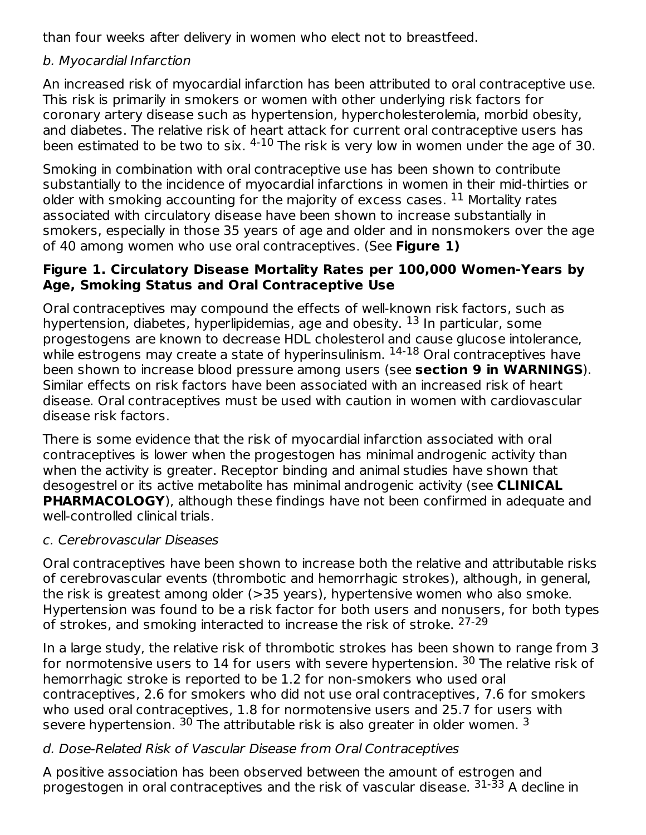than four weeks after delivery in women who elect not to breastfeed.

### b. Myocardial Infarction

An increased risk of myocardial infarction has been attributed to oral contraceptive use. This risk is primarily in smokers or women with other underlying risk factors for coronary artery disease such as hypertension, hypercholesterolemia, morbid obesity, and diabetes. The relative risk of heart attack for current oral contraceptive users has been estimated to be two to six.  $4-10$  The risk is very low in women under the age of 30.

Smoking in combination with oral contraceptive use has been shown to contribute substantially to the incidence of myocardial infarctions in women in their mid-thirties or older with smoking accounting for the majority of excess cases.  $^{\rm 11}$  Mortality rates associated with circulatory disease have been shown to increase substantially in smokers, especially in those 35 years of age and older and in nonsmokers over the age of 40 among women who use oral contraceptives. (See **Figure 1)**

#### **Figure 1. Circulatory Disease Mortality Rates per 100,000 Women-Years by Age, Smoking Status and Oral Contraceptive Use**

Oral contraceptives may compound the effects of well-known risk factors, such as hypertension, diabetes, hyperlipidemias, age and obesity. <sup>13</sup> In particular, some progestogens are known to decrease HDL cholesterol and cause glucose intolerance, while estrogens may create a state of hyperinsulinism.  $^{14\text{-}18}$  Oral contraceptives have been shown to increase blood pressure among users (see **section 9 in WARNINGS**). Similar effects on risk factors have been associated with an increased risk of heart disease. Oral contraceptives must be used with caution in women with cardiovascular disease risk factors.

There is some evidence that the risk of myocardial infarction associated with oral contraceptives is lower when the progestogen has minimal androgenic activity than when the activity is greater. Receptor binding and animal studies have shown that desogestrel or its active metabolite has minimal androgenic activity (see **CLINICAL PHARMACOLOGY**), although these findings have not been confirmed in adequate and well-controlled clinical trials.

### c. Cerebrovascular Diseases

Oral contraceptives have been shown to increase both the relative and attributable risks of cerebrovascular events (thrombotic and hemorrhagic strokes), although, in general, the risk is greatest among older (>35 years), hypertensive women who also smoke. Hypertension was found to be a risk factor for both users and nonusers, for both types of strokes, and smoking interacted to increase the risk of stroke. <sup>27-29</sup>

In a large study, the relative risk of thrombotic strokes has been shown to range from 3 for normotensive users to 14 for users with severe hypertension. <sup>30</sup> The relative risk of hemorrhagic stroke is reported to be 1.2 for non-smokers who used oral contraceptives, 2.6 for smokers who did not use oral contraceptives, 7.6 for smokers who used oral contraceptives, 1.8 for normotensive users and 25.7 for users with severe hypertension.  $^{30}$  The attributable risk is also greater in older women.  $^3$ 

### d. Dose-Related Risk of Vascular Disease from Oral Contraceptives

A positive association has been observed between the amount of estrogen and progestogen in oral contraceptives and the risk of vascular disease. <sup>31-33</sup> A decline in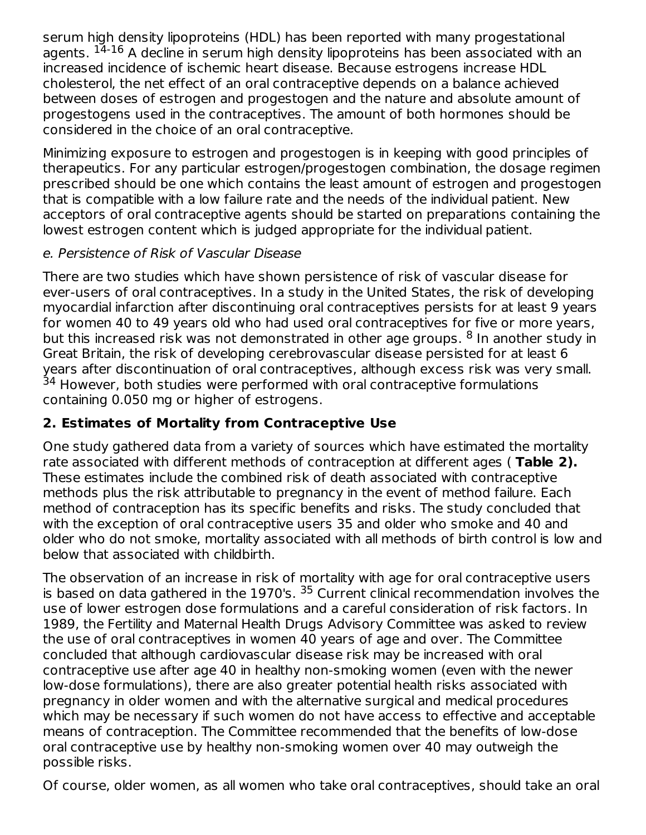serum high density lipoproteins (HDL) has been reported with many progestational agents. <sup>14-16</sup> A decline in serum high density lipoproteins has been associated with an increased incidence of ischemic heart disease. Because estrogens increase HDL cholesterol, the net effect of an oral contraceptive depends on a balance achieved between doses of estrogen and progestogen and the nature and absolute amount of progestogens used in the contraceptives. The amount of both hormones should be considered in the choice of an oral contraceptive.

Minimizing exposure to estrogen and progestogen is in keeping with good principles of therapeutics. For any particular estrogen/progestogen combination, the dosage regimen prescribed should be one which contains the least amount of estrogen and progestogen that is compatible with a low failure rate and the needs of the individual patient. New acceptors of oral contraceptive agents should be started on preparations containing the lowest estrogen content which is judged appropriate for the individual patient.

### e. Persistence of Risk of Vascular Disease

There are two studies which have shown persistence of risk of vascular disease for ever-users of oral contraceptives. In a study in the United States, the risk of developing myocardial infarction after discontinuing oral contraceptives persists for at least 9 years for women 40 to 49 years old who had used oral contraceptives for five or more years, but this increased risk was not demonstrated in other age groups. <sup>8</sup> In another study in Great Britain, the risk of developing cerebrovascular disease persisted for at least 6 years after discontinuation of oral contraceptives, although excess risk was very small. <sup>34</sup> However, both studies were performed with oral contraceptive formulations containing 0.050 mg or higher of estrogens.

## **2. Estimates of Mortality from Contraceptive Use**

One study gathered data from a variety of sources which have estimated the mortality rate associated with different methods of contraception at different ages ( **Table 2).** These estimates include the combined risk of death associated with contraceptive methods plus the risk attributable to pregnancy in the event of method failure. Each method of contraception has its specific benefits and risks. The study concluded that with the exception of oral contraceptive users 35 and older who smoke and 40 and older who do not smoke, mortality associated with all methods of birth control is low and below that associated with childbirth.

The observation of an increase in risk of mortality with age for oral contraceptive users is based on data gathered in the  $1970$ 's.  $^{35}$  Current clinical recommendation involves the use of lower estrogen dose formulations and a careful consideration of risk factors. In 1989, the Fertility and Maternal Health Drugs Advisory Committee was asked to review the use of oral contraceptives in women 40 years of age and over. The Committee concluded that although cardiovascular disease risk may be increased with oral contraceptive use after age 40 in healthy non-smoking women (even with the newer low-dose formulations), there are also greater potential health risks associated with pregnancy in older women and with the alternative surgical and medical procedures which may be necessary if such women do not have access to effective and acceptable means of contraception. The Committee recommended that the benefits of low-dose oral contraceptive use by healthy non-smoking women over 40 may outweigh the possible risks.

Of course, older women, as all women who take oral contraceptives, should take an oral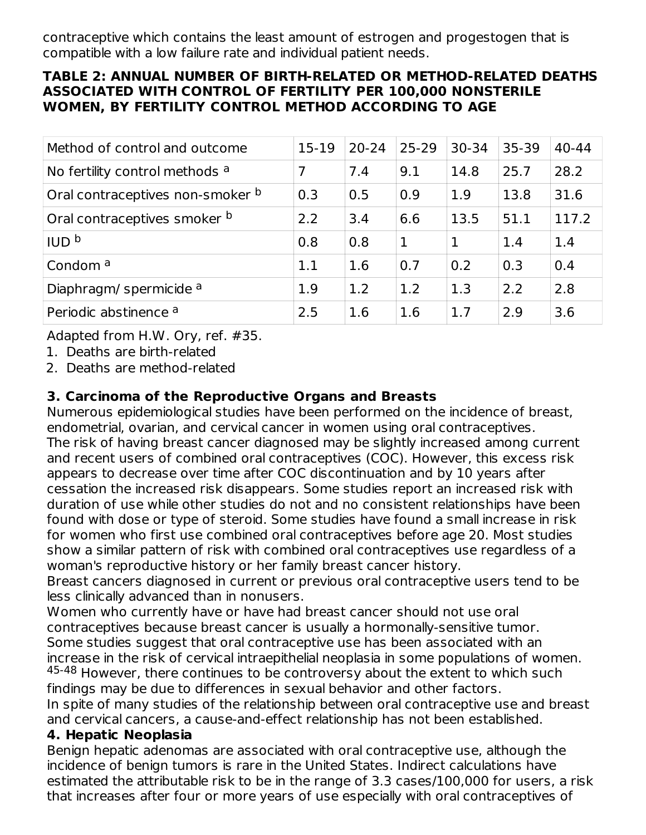contraceptive which contains the least amount of estrogen and progestogen that is compatible with a low failure rate and individual patient needs.

#### **TABLE 2: ANNUAL NUMBER OF BIRTH-RELATED OR METHOD-RELATED DEATHS ASSOCIATED WITH CONTROL OF FERTILITY PER 100,000 NONSTERILE WOMEN, BY FERTILITY CONTROL METHOD ACCORDING TO AGE**

| Method of control and outcome             | $15 - 19$ | $20 - 24$ | $25 - 29$ | $30 - 34$    | $35 - 39$ | 40-44 |
|-------------------------------------------|-----------|-----------|-----------|--------------|-----------|-------|
| No fertility control methods <sup>a</sup> | 7         | 7.4       | 9.1       | 14.8         | 25.7      | 28.2  |
| Oral contraceptives non-smoker b          | 0.3       | 0.5       | 0.9       | 1.9          | 13.8      | 31.6  |
| Oral contraceptives smoker b              | 2.2       | 3.4       | 6.6       | 13.5         | 51.1      | 117.2 |
| IUD <sup>b</sup>                          | 0.8       | 0.8       | 1         | $\mathbf{1}$ | 1.4       | 1.4   |
| Condom <sup>a</sup>                       | 1.1       | 1.6       | 0.7       | 0.2          | 0.3       | 0.4   |
| Diaphragm/ spermicide <sup>a</sup>        | 1.9       | 1.2       | 1.2       | 1.3          | 2.2       | 2.8   |
| Periodic abstinence <sup>a</sup>          | 2.5       | 1.6       | 1.6       | 1.7          | 2.9       | 3.6   |

Adapted from H.W. Ory, ref. #35.

1. Deaths are birth-related

2. Deaths are method-related

## **3. Carcinoma of the Reproductive Organs and Breasts**

Numerous epidemiological studies have been performed on the incidence of breast, endometrial, ovarian, and cervical cancer in women using oral contraceptives. The risk of having breast cancer diagnosed may be slightly increased among current and recent users of combined oral contraceptives (COC). However, this excess risk appears to decrease over time after COC discontinuation and by 10 years after cessation the increased risk disappears. Some studies report an increased risk with duration of use while other studies do not and no consistent relationships have been found with dose or type of steroid. Some studies have found a small increase in risk for women who first use combined oral contraceptives before age 20. Most studies show a similar pattern of risk with combined oral contraceptives use regardless of a woman's reproductive history or her family breast cancer history.

Breast cancers diagnosed in current or previous oral contraceptive users tend to be less clinically advanced than in nonusers.

Women who currently have or have had breast cancer should not use oral contraceptives because breast cancer is usually a hormonally-sensitive tumor. Some studies suggest that oral contraceptive use has been associated with an increase in the risk of cervical intraepithelial neoplasia in some populations of women. 45-48 However, there continues to be controversy about the extent to which such findings may be due to differences in sexual behavior and other factors.

In spite of many studies of the relationship between oral contraceptive use and breast and cervical cancers, a cause-and-effect relationship has not been established.

#### **4. Hepatic Neoplasia**

Benign hepatic adenomas are associated with oral contraceptive use, although the incidence of benign tumors is rare in the United States. Indirect calculations have estimated the attributable risk to be in the range of 3.3 cases/100,000 for users, a risk that increases after four or more years of use especially with oral contraceptives of 49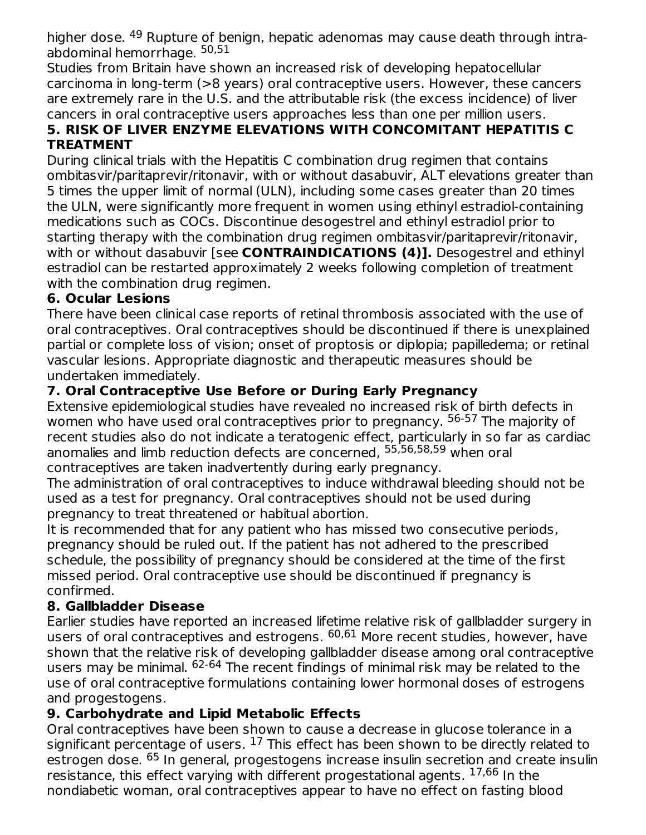higher dose. <sup>49</sup> Rupture of benign, hepatic adenomas may cause death through intraabdominal hemorrhage. 50,51

Studies from Britain have shown an increased risk of developing hepatocellular carcinoma in long-term (>8 years) oral contraceptive users. However, these cancers are extremely rare in the U.S. and the attributable risk (the excess incidence) of liver cancers in oral contraceptive users approaches less than one per million users.

#### **5. RISK OF LIVER ENZYME ELEVATIONS WITH CONCOMITANT HEPATITIS C TREATMENT**

During clinical trials with the Hepatitis C combination drug regimen that contains ombitasvir/paritaprevir/ritonavir, with or without dasabuvir, ALT elevations greater than 5 times the upper limit of normal (ULN), including some cases greater than 20 times the ULN, were significantly more frequent in women using ethinyl estradiol-containing medications such as COCs. Discontinue desogestrel and ethinyl estradiol prior to starting therapy with the combination drug regimen ombitasvir/paritaprevir/ritonavir, with or without dasabuvir [see **CONTRAINDICATIONS (4)].** Desogestrel and ethinyl estradiol can be restarted approximately 2 weeks following completion of treatment with the combination drug regimen.

### **6. Ocular Lesions**

There have been clinical case reports of retinal thrombosis associated with the use of oral contraceptives. Oral contraceptives should be discontinued if there is unexplained partial or complete loss of vision; onset of proptosis or diplopia; papilledema; or retinal vascular lesions. Appropriate diagnostic and therapeutic measures should be undertaken immediately.

### **7. Oral Contraceptive Use Before or During Early Pregnancy**

Extensive epidemiological studies have revealed no increased risk of birth defects in women who have used oral contraceptives prior to pregnancy. <sup>56-57</sup> The majority of recent studies also do not indicate a teratogenic effect, particularly in so far as cardiac anomalies and limb reduction defects are concerned, 55,56,58,59 when oral contraceptives are taken inadvertently during early pregnancy.

The administration of oral contraceptives to induce withdrawal bleeding should not be used as a test for pregnancy. Oral contraceptives should not be used during pregnancy to treat threatened or habitual abortion.

It is recommended that for any patient who has missed two consecutive periods, pregnancy should be ruled out. If the patient has not adhered to the prescribed schedule, the possibility of pregnancy should be considered at the time of the first missed period. Oral contraceptive use should be discontinued if pregnancy is confirmed.

### **8. Gallbladder Disease**

Earlier studies have reported an increased lifetime relative risk of gallbladder surgery in users of oral contraceptives and estrogens. <sup>60,61</sup> More recent studies, however, have shown that the relative risk of developing gallbladder disease among oral contraceptive users may be minimal. <sup>62-64</sup> The recent findings of minimal risk may be related to the use of oral contraceptive formulations containing lower hormonal doses of estrogens and progestogens.

### **9. Carbohydrate and Lipid Metabolic Effects**

Oral contraceptives have been shown to cause a decrease in glucose tolerance in a significant percentage of users.  $^{17}$  This effect has been shown to be directly related to estrogen dose. <sup>65</sup> In general, progestogens increase insulin secretion and create insulin resistance, this effect varying with different progestational agents.  $^{17,66}$  In the nondiabetic woman, oral contraceptives appear to have no effect on fasting blood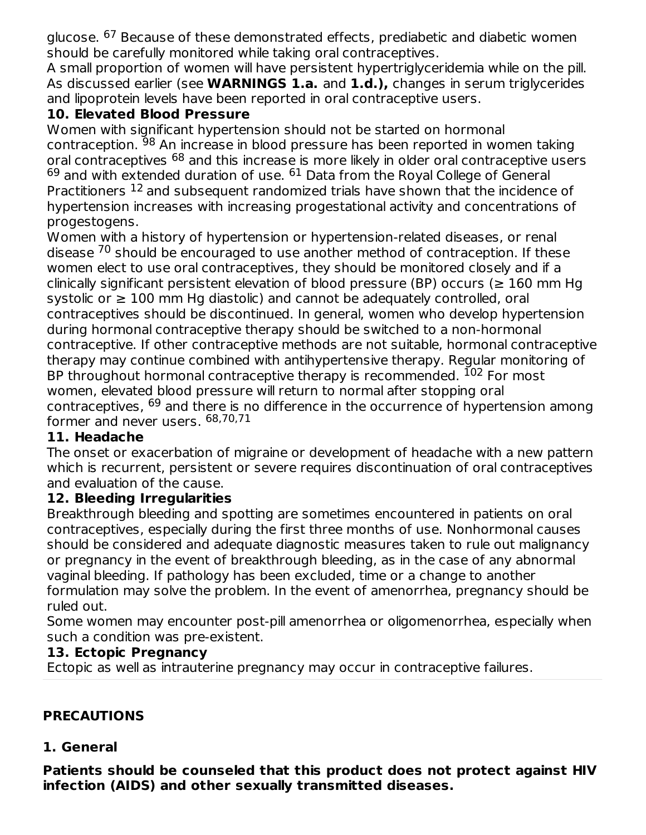glucose. <sup>67</sup> Because of these demonstrated effects, prediabetic and diabetic women should be carefully monitored while taking oral contraceptives.

A small proportion of women will have persistent hypertriglyceridemia while on the pill. As discussed earlier (see **WARNINGS 1.a.** and **1.d.),** changes in serum triglycerides and lipoprotein levels have been reported in oral contraceptive users.

### **10. Elevated Blood Pressure**

Women with significant hypertension should not be started on hormonal contraception. <sup>98</sup> An increase in blood pressure has been reported in women taking oral contraceptives <sup>68</sup> and this increase is more likely in older oral contraceptive users  $69$  and with extended duration of use.  $61$  Data from the Royal College of General Practitioners <sup>12</sup> and subsequent randomized trials have shown that the incidence of hypertension increases with increasing progestational activity and concentrations of progestogens.

Women with a history of hypertension or hypertension-related diseases, or renal disease <sup>70</sup> should be encouraged to use another method of contraception. If these women elect to use oral contraceptives, they should be monitored closely and if a clinically significant persistent elevation of blood pressure (BP) occurs ( $\geq 160$  mm Hg systolic or  $\geq 100$  mm Hg diastolic) and cannot be adequately controlled, oral contraceptives should be discontinued. In general, women who develop hypertension during hormonal contraceptive therapy should be switched to a non-hormonal contraceptive. If other contraceptive methods are not suitable, hormonal contraceptive therapy may continue combined with antihypertensive therapy. Regular monitoring of BP throughout hormonal contraceptive therapy is recommended. <sup>102</sup> For most women, elevated blood pressure will return to normal after stopping oral contraceptives, <sup>69</sup> and there is no difference in the occurrence of hypertension among former and never users. 68,70,71

### **11. Headache**

The onset or exacerbation of migraine or development of headache with a new pattern which is recurrent, persistent or severe requires discontinuation of oral contraceptives and evaluation of the cause.

#### **12. Bleeding Irregularities**

Breakthrough bleeding and spotting are sometimes encountered in patients on oral contraceptives, especially during the first three months of use. Nonhormonal causes should be considered and adequate diagnostic measures taken to rule out malignancy or pregnancy in the event of breakthrough bleeding, as in the case of any abnormal vaginal bleeding. If pathology has been excluded, time or a change to another formulation may solve the problem. In the event of amenorrhea, pregnancy should be ruled out.

Some women may encounter post-pill amenorrhea or oligomenorrhea, especially when such a condition was pre-existent.

#### **13. Ectopic Pregnancy**

Ectopic as well as intrauterine pregnancy may occur in contraceptive failures.

### **PRECAUTIONS**

### **1. General**

**Patients should be counseled that this product does not protect against HIV infection (AIDS) and other sexually transmitted diseases.**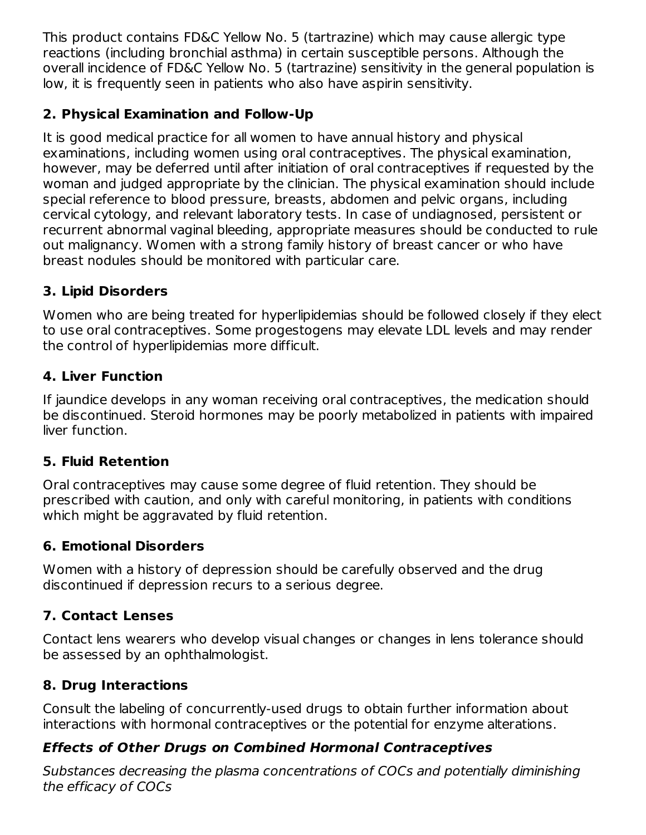This product contains FD&C Yellow No. 5 (tartrazine) which may cause allergic type reactions (including bronchial asthma) in certain susceptible persons. Although the overall incidence of FD&C Yellow No. 5 (tartrazine) sensitivity in the general population is low, it is frequently seen in patients who also have aspirin sensitivity.

### **2. Physical Examination and Follow-Up**

It is good medical practice for all women to have annual history and physical examinations, including women using oral contraceptives. The physical examination, however, may be deferred until after initiation of oral contraceptives if requested by the woman and judged appropriate by the clinician. The physical examination should include special reference to blood pressure, breasts, abdomen and pelvic organs, including cervical cytology, and relevant laboratory tests. In case of undiagnosed, persistent or recurrent abnormal vaginal bleeding, appropriate measures should be conducted to rule out malignancy. Women with a strong family history of breast cancer or who have breast nodules should be monitored with particular care.

### **3. Lipid Disorders**

Women who are being treated for hyperlipidemias should be followed closely if they elect to use oral contraceptives. Some progestogens may elevate LDL levels and may render the control of hyperlipidemias more difficult.

### **4. Liver Function**

If jaundice develops in any woman receiving oral contraceptives, the medication should be discontinued. Steroid hormones may be poorly metabolized in patients with impaired liver function.

### **5. Fluid Retention**

Oral contraceptives may cause some degree of fluid retention. They should be prescribed with caution, and only with careful monitoring, in patients with conditions which might be aggravated by fluid retention.

### **6. Emotional Disorders**

Women with a history of depression should be carefully observed and the drug discontinued if depression recurs to a serious degree.

## **7. Contact Lenses**

Contact lens wearers who develop visual changes or changes in lens tolerance should be assessed by an ophthalmologist.

## **8. Drug Interactions**

Consult the labeling of concurrently-used drugs to obtain further information about interactions with hormonal contraceptives or the potential for enzyme alterations.

## **Effects of Other Drugs on Combined Hormonal Contraceptives**

Substances decreasing the plasma concentrations of COCs and potentially diminishing the efficacy of COCs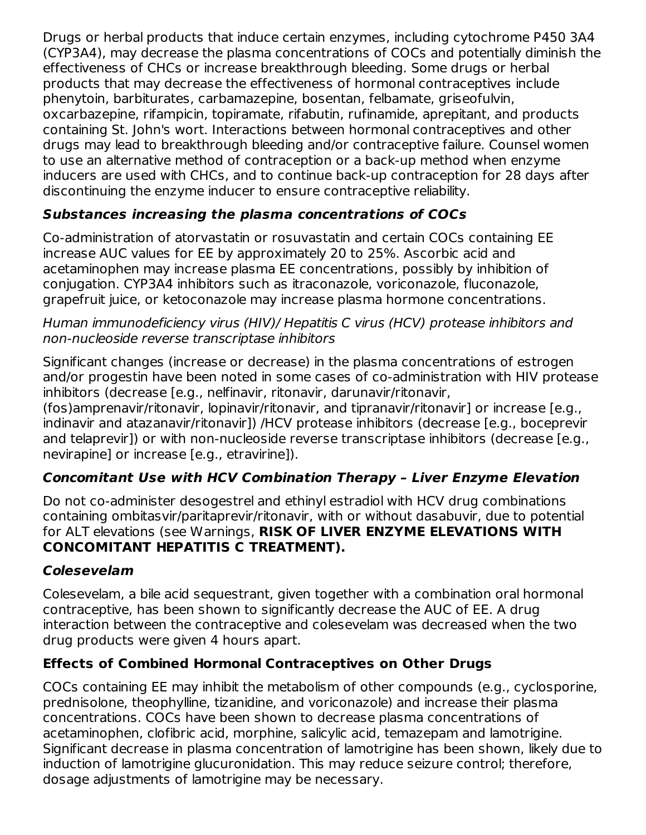Drugs or herbal products that induce certain enzymes, including cytochrome P450 3A4 (CYP3A4), may decrease the plasma concentrations of COCs and potentially diminish the effectiveness of CHCs or increase breakthrough bleeding. Some drugs or herbal products that may decrease the effectiveness of hormonal contraceptives include phenytoin, barbiturates, carbamazepine, bosentan, felbamate, griseofulvin, oxcarbazepine, rifampicin, topiramate, rifabutin, rufinamide, aprepitant, and products containing St. John's wort. Interactions between hormonal contraceptives and other drugs may lead to breakthrough bleeding and/or contraceptive failure. Counsel women to use an alternative method of contraception or a back-up method when enzyme inducers are used with CHCs, and to continue back-up contraception for 28 days after discontinuing the enzyme inducer to ensure contraceptive reliability.

## **Substances increasing the plasma concentrations of COCs**

Co-administration of atorvastatin or rosuvastatin and certain COCs containing EE increase AUC values for EE by approximately 20 to 25%. Ascorbic acid and acetaminophen may increase plasma EE concentrations, possibly by inhibition of conjugation. CYP3A4 inhibitors such as itraconazole, voriconazole, fluconazole, grapefruit juice, or ketoconazole may increase plasma hormone concentrations.

Human immunodeficiency virus (HIV)/ Hepatitis C virus (HCV) protease inhibitors and non-nucleoside reverse transcriptase inhibitors

Significant changes (increase or decrease) in the plasma concentrations of estrogen and/or progestin have been noted in some cases of co-administration with HIV protease inhibitors (decrease [e.g., nelfinavir, ritonavir, darunavir/ritonavir,

(fos)amprenavir/ritonavir, lopinavir/ritonavir, and tipranavir/ritonavir] or increase [e.g., indinavir and atazanavir/ritonavir]) /HCV protease inhibitors (decrease [e.g., boceprevir and telaprevir]) or with non-nucleoside reverse transcriptase inhibitors (decrease [e.g., nevirapine] or increase [e.g., etravirine]).

## **Concomitant Use with HCV Combination Therapy – Liver Enzyme Elevation**

Do not co-administer desogestrel and ethinyl estradiol with HCV drug combinations containing ombitasvir/paritaprevir/ritonavir, with or without dasabuvir, due to potential for ALT elevations (see Warnings, **RISK OF LIVER ENZYME ELEVATIONS WITH CONCOMITANT HEPATITIS C TREATMENT).**

## **Colesevelam**

Colesevelam, a bile acid sequestrant, given together with a combination oral hormonal contraceptive, has been shown to significantly decrease the AUC of EE. A drug interaction between the contraceptive and colesevelam was decreased when the two drug products were given 4 hours apart.

## **Effects of Combined Hormonal Contraceptives on Other Drugs**

COCs containing EE may inhibit the metabolism of other compounds (e.g., cyclosporine, prednisolone, theophylline, tizanidine, and voriconazole) and increase their plasma concentrations. COCs have been shown to decrease plasma concentrations of acetaminophen, clofibric acid, morphine, salicylic acid, temazepam and lamotrigine. Significant decrease in plasma concentration of lamotrigine has been shown, likely due to induction of lamotrigine glucuronidation. This may reduce seizure control; therefore, dosage adjustments of lamotrigine may be necessary.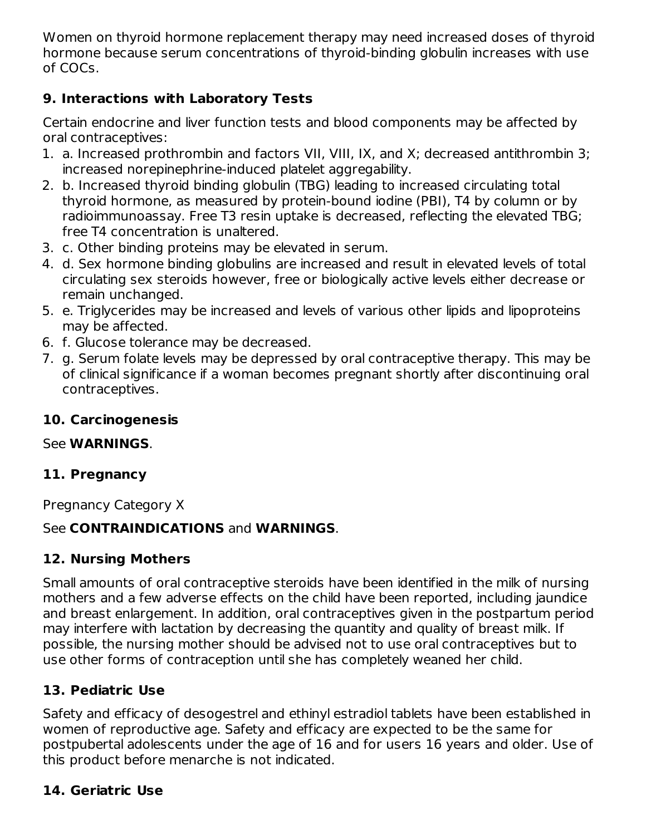Women on thyroid hormone replacement therapy may need increased doses of thyroid hormone because serum concentrations of thyroid-binding globulin increases with use of COCs.

### **9. Interactions with Laboratory Tests**

Certain endocrine and liver function tests and blood components may be affected by oral contraceptives:

- 1. a. Increased prothrombin and factors VII, VIII, IX, and X; decreased antithrombin 3; increased norepinephrine-induced platelet aggregability.
- 2. b. Increased thyroid binding globulin (TBG) leading to increased circulating total thyroid hormone, as measured by protein-bound iodine (PBI), T4 by column or by radioimmunoassay. Free T3 resin uptake is decreased, reflecting the elevated TBG; free T4 concentration is unaltered.
- 3. c. Other binding proteins may be elevated in serum.
- 4. d. Sex hormone binding globulins are increased and result in elevated levels of total circulating sex steroids however, free or biologically active levels either decrease or remain unchanged.
- 5. e. Triglycerides may be increased and levels of various other lipids and lipoproteins may be affected.
- 6. f. Glucose tolerance may be decreased.
- 7. g. Serum folate levels may be depressed by oral contraceptive therapy. This may be of clinical significance if a woman becomes pregnant shortly after discontinuing oral contraceptives.

### **10. Carcinogenesis**

### See **WARNINGS**.

### **11. Pregnancy**

Pregnancy Category X

## See **CONTRAINDICATIONS** and **WARNINGS**.

### **12. Nursing Mothers**

Small amounts of oral contraceptive steroids have been identified in the milk of nursing mothers and a few adverse effects on the child have been reported, including jaundice and breast enlargement. In addition, oral contraceptives given in the postpartum period may interfere with lactation by decreasing the quantity and quality of breast milk. If possible, the nursing mother should be advised not to use oral contraceptives but to use other forms of contraception until she has completely weaned her child.

## **13. Pediatric Use**

Safety and efficacy of desogestrel and ethinyl estradiol tablets have been established in women of reproductive age. Safety and efficacy are expected to be the same for postpubertal adolescents under the age of 16 and for users 16 years and older. Use of this product before menarche is not indicated.

### **14. Geriatric Use**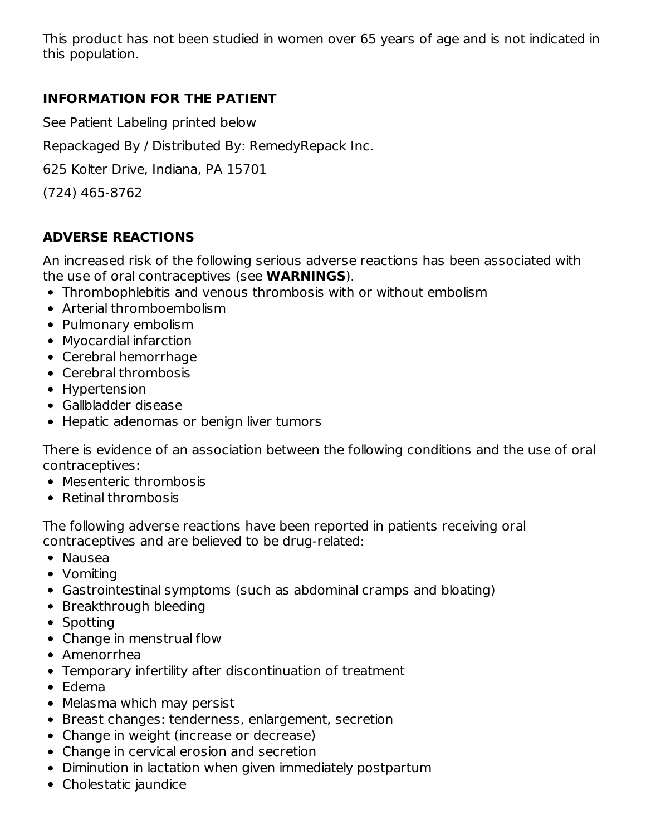This product has not been studied in women over 65 years of age and is not indicated in this population.

## **INFORMATION FOR THE PATIENT**

See Patient Labeling printed below

Repackaged By / Distributed By: RemedyRepack Inc.

625 Kolter Drive, Indiana, PA 15701

(724) 465-8762

### **ADVERSE REACTIONS**

An increased risk of the following serious adverse reactions has been associated with the use of oral contraceptives (see **WARNINGS**).

- Thrombophlebitis and venous thrombosis with or without embolism
- Arterial thromboembolism
- Pulmonary embolism
- Myocardial infarction
- Cerebral hemorrhage
- Cerebral thrombosis
- Hypertension
- Gallbladder disease
- Hepatic adenomas or benign liver tumors

There is evidence of an association between the following conditions and the use of oral contraceptives:

- Mesenteric thrombosis
- Retinal thrombosis

The following adverse reactions have been reported in patients receiving oral contraceptives and are believed to be drug-related:

- Nausea
- Vomiting
- Gastrointestinal symptoms (such as abdominal cramps and bloating)
- Breakthrough bleeding
- Spotting
- Change in menstrual flow
- Amenorrhea
- Temporary infertility after discontinuation of treatment
- Edema
- Melasma which may persist
- Breast changes: tenderness, enlargement, secretion
- Change in weight (increase or decrease)
- Change in cervical erosion and secretion
- Diminution in lactation when given immediately postpartum
- Cholestatic jaundice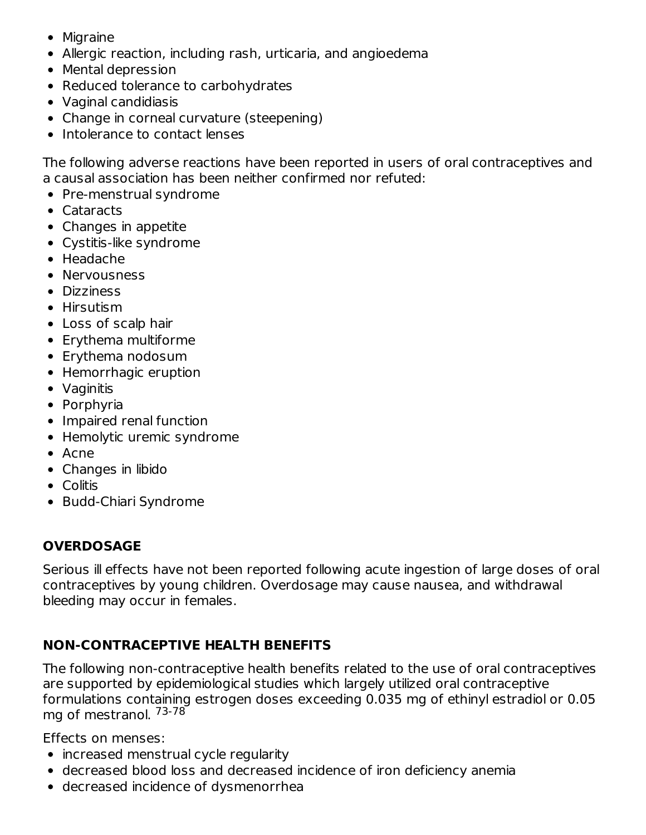- Migraine
- Allergic reaction, including rash, urticaria, and angioedema
- Mental depression
- Reduced tolerance to carbohydrates
- Vaginal candidiasis
- Change in corneal curvature (steepening)
- Intolerance to contact lenses

The following adverse reactions have been reported in users of oral contraceptives and a causal association has been neither confirmed nor refuted:

- Pre-menstrual syndrome
- Cataracts
- Changes in appetite
- Cystitis-like syndrome
- Headache
- Nervousness
- Dizziness
- Hirsutism
- Loss of scalp hair
- Erythema multiforme
- Erythema nodosum
- Hemorrhagic eruption
- Vaginitis
- Porphyria
- Impaired renal function
- Hemolytic uremic syndrome
- Acne
- Changes in libido
- Colitis
- Budd-Chiari Syndrome

## **OVERDOSAGE**

Serious ill effects have not been reported following acute ingestion of large doses of oral contraceptives by young children. Overdosage may cause nausea, and withdrawal bleeding may occur in females.

## **NON-CONTRACEPTIVE HEALTH BENEFITS**

The following non-contraceptive health benefits related to the use of oral contraceptives are supported by epidemiological studies which largely utilized oral contraceptive formulations containing estrogen doses exceeding 0.035 mg of ethinyl estradiol or 0.05 mg of mestranol. 73-78

Effects on menses:

- increased menstrual cycle regularity
- decreased blood loss and decreased incidence of iron deficiency anemia
- decreased incidence of dysmenorrhea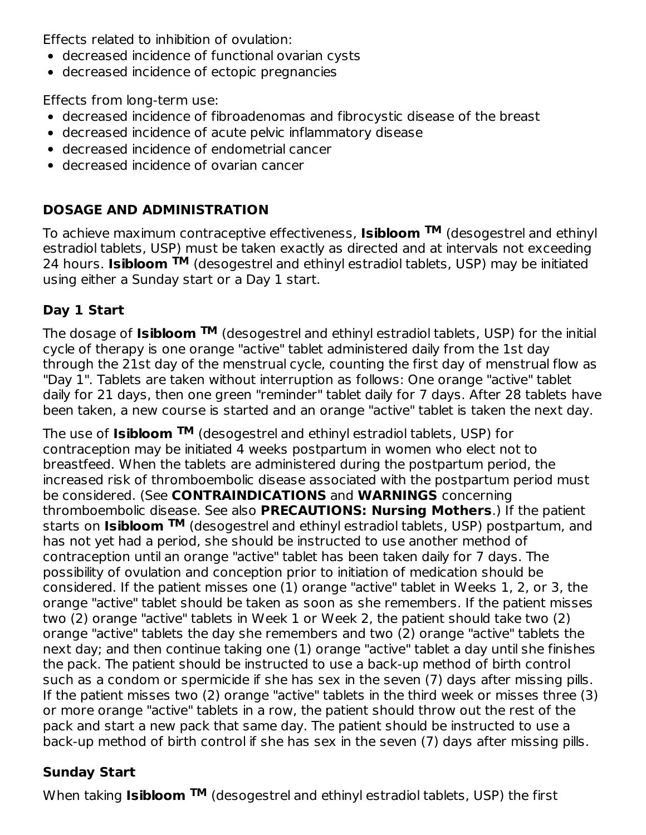Effects related to inhibition of ovulation:

- decreased incidence of functional ovarian cysts
- decreased incidence of ectopic pregnancies

Effects from long-term use:

- decreased incidence of fibroadenomas and fibrocystic disease of the breast
- decreased incidence of acute pelvic inflammatory disease
- decreased incidence of endometrial cancer
- decreased incidence of ovarian cancer

# **DOSAGE AND ADMINISTRATION**

To achieve maximum contraceptive effectiveness, **Isibloom** (desogestrel and ethinyl **TM** estradiol tablets, USP) must be taken exactly as directed and at intervals not exceeding 24 hours. **Isibloom TM** (desogestrel and ethinyl estradiol tablets, USP) may be initiated using either a Sunday start or a Day 1 start.

# **Day 1 Start**

The dosage of **Isibloom ™** (desogestrel and ethinyl estradiol tablets, USP) for the initial cycle of therapy is one orange "active" tablet administered daily from the 1st day through the 21st day of the menstrual cycle, counting the first day of menstrual flow as "Day 1". Tablets are taken without interruption as follows: One orange "active" tablet daily for 21 days, then one green "reminder" tablet daily for 7 days. After 28 tablets have been taken, a new course is started and an orange "active" tablet is taken the next day.

The use of **Isibloom TM** (desogestrel and ethinyl estradiol tablets, USP) for contraception may be initiated 4 weeks postpartum in women who elect not to breastfeed. When the tablets are administered during the postpartum period, the increased risk of thromboembolic disease associated with the postpartum period must be considered. (See **CONTRAINDICATIONS** and **WARNINGS** concerning thromboembolic disease. See also **PRECAUTIONS: Nursing Mothers**.) If the patient starts on **Isibloom TM** (desogestrel and ethinyl estradiol tablets, USP) postpartum, and has not yet had a period, she should be instructed to use another method of contraception until an orange "active" tablet has been taken daily for 7 days. The possibility of ovulation and conception prior to initiation of medication should be considered. If the patient misses one (1) orange "active" tablet in Weeks 1, 2, or 3, the orange "active" tablet should be taken as soon as she remembers. If the patient misses two (2) orange "active" tablets in Week 1 or Week 2, the patient should take two (2) orange "active" tablets the day she remembers and two (2) orange "active" tablets the next day; and then continue taking one (1) orange "active" tablet a day until she finishes the pack. The patient should be instructed to use a back-up method of birth control such as a condom or spermicide if she has sex in the seven (7) days after missing pills. If the patient misses two (2) orange "active" tablets in the third week or misses three (3) or more orange "active" tablets in a row, the patient should throw out the rest of the pack and start a new pack that same day. The patient should be instructed to use a back-up method of birth control if she has sex in the seven (7) days after missing pills.

# **Sunday Start**

When taking **Isibloom TM** (desogestrel and ethinyl estradiol tablets, USP) the first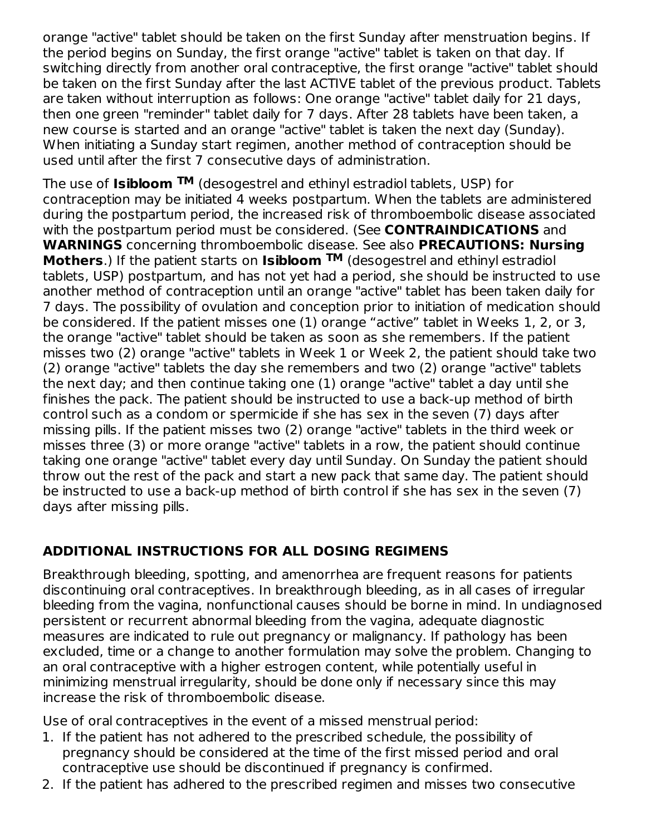orange "active" tablet should be taken on the first Sunday after menstruation begins. If the period begins on Sunday, the first orange "active" tablet is taken on that day. If switching directly from another oral contraceptive, the first orange "active" tablet should be taken on the first Sunday after the last ACTIVE tablet of the previous product. Tablets are taken without interruption as follows: One orange "active" tablet daily for 21 days, then one green "reminder" tablet daily for 7 days. After 28 tablets have been taken, a new course is started and an orange "active" tablet is taken the next day (Sunday). When initiating a Sunday start regimen, another method of contraception should be used until after the first 7 consecutive days of administration.

<code>The</code> use of <code>Isibloom</code> <code>TM</code> (desogestrel and ethinyl estradiol tablets, USP) for contraception may be initiated 4 weeks postpartum. When the tablets are administered during the postpartum period, the increased risk of thromboembolic disease associated with the postpartum period must be considered. (See **CONTRAINDICATIONS** and **WARNINGS** concerning thromboembolic disease. See also **PRECAUTIONS: Nursing Mothers**.) If the patient starts on **Isibloom** ™ (desogestrel and ethinyl estradiol tablets, USP) postpartum, and has not yet had a period, she should be instructed to use another method of contraception until an orange "active" tablet has been taken daily for 7 days. The possibility of ovulation and conception prior to initiation of medication should be considered. If the patient misses one (1) orange "active" tablet in Weeks 1, 2, or 3, the orange "active" tablet should be taken as soon as she remembers. If the patient misses two (2) orange "active" tablets in Week 1 or Week 2, the patient should take two (2) orange "active" tablets the day she remembers and two (2) orange "active" tablets the next day; and then continue taking one (1) orange "active" tablet a day until she finishes the pack. The patient should be instructed to use a back-up method of birth control such as a condom or spermicide if she has sex in the seven (7) days after missing pills. If the patient misses two (2) orange "active" tablets in the third week or misses three (3) or more orange "active" tablets in a row, the patient should continue taking one orange "active" tablet every day until Sunday. On Sunday the patient should throw out the rest of the pack and start a new pack that same day. The patient should be instructed to use a back-up method of birth control if she has sex in the seven (7) days after missing pills.

## **ADDITIONAL INSTRUCTIONS FOR ALL DOSING REGIMENS**

Breakthrough bleeding, spotting, and amenorrhea are frequent reasons for patients discontinuing oral contraceptives. In breakthrough bleeding, as in all cases of irregular bleeding from the vagina, nonfunctional causes should be borne in mind. In undiagnosed persistent or recurrent abnormal bleeding from the vagina, adequate diagnostic measures are indicated to rule out pregnancy or malignancy. If pathology has been excluded, time or a change to another formulation may solve the problem. Changing to an oral contraceptive with a higher estrogen content, while potentially useful in minimizing menstrual irregularity, should be done only if necessary since this may increase the risk of thromboembolic disease.

Use of oral contraceptives in the event of a missed menstrual period:

- 1. If the patient has not adhered to the prescribed schedule, the possibility of pregnancy should be considered at the time of the first missed period and oral contraceptive use should be discontinued if pregnancy is confirmed.
- 2. If the patient has adhered to the prescribed regimen and misses two consecutive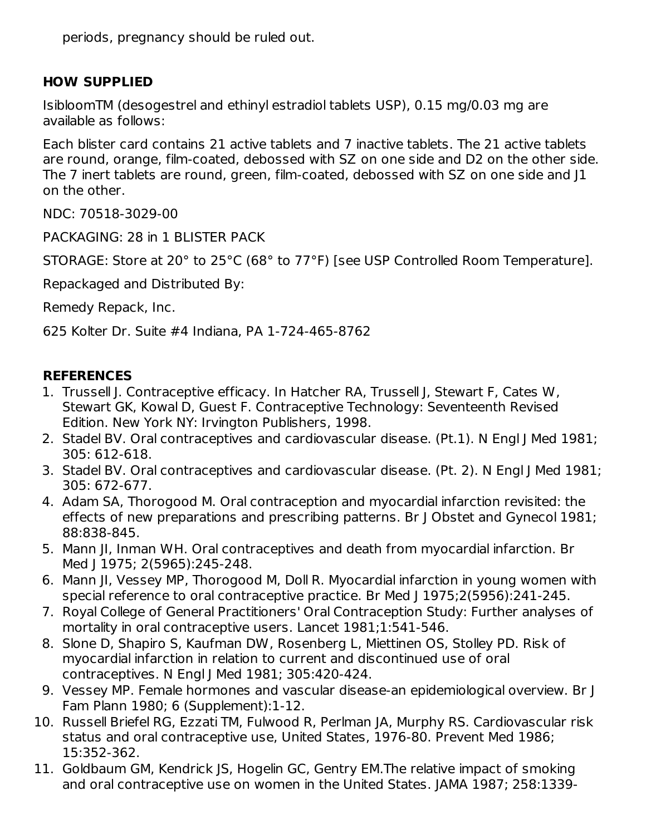periods, pregnancy should be ruled out.

### **HOW SUPPLIED**

IsibloomTM (desogestrel and ethinyl estradiol tablets USP), 0.15 mg/0.03 mg are available as follows:

Each blister card contains 21 active tablets and 7 inactive tablets. The 21 active tablets are round, orange, film-coated, debossed with SZ on one side and D2 on the other side. The 7 inert tablets are round, green, film-coated, debossed with SZ on one side and J1 on the other.

NDC: 70518-3029-00

PACKAGING: 28 in 1 BLISTER PACK

STORAGE: Store at 20° to 25°C (68° to 77°F) [see USP Controlled Room Temperature].

Repackaged and Distributed By:

Remedy Repack, Inc.

625 Kolter Dr. Suite #4 Indiana, PA 1-724-465-8762

## **REFERENCES**

- 1. Trussell J. Contraceptive efficacy. In Hatcher RA, Trussell J, Stewart F, Cates W, Stewart GK, Kowal D, Guest F. Contraceptive Technology: Seventeenth Revised Edition. New York NY: Irvington Publishers, 1998.
- 2. Stadel BV. Oral contraceptives and cardiovascular disease. (Pt.1). N Engl J Med 1981; 305: 612-618.
- 3. Stadel BV. Oral contraceptives and cardiovascular disease. (Pt. 2). N Engl J Med 1981; 305: 672-677.
- 4. Adam SA, Thorogood M. Oral contraception and myocardial infarction revisited: the effects of new preparations and prescribing patterns. Br J Obstet and Gynecol 1981; 88:838-845.
- 5. Mann JI, Inman WH. Oral contraceptives and death from myocardial infarction. Br Med | 1975; 2(5965):245-248.
- 6. Mann JI, Vessey MP, Thorogood M, Doll R. Myocardial infarction in young women with special reference to oral contraceptive practice. Br Med J 1975;2(5956):241-245.
- 7. Royal College of General Practitioners' Oral Contraception Study: Further analyses of mortality in oral contraceptive users. Lancet 1981;1:541-546.
- 8. Slone D, Shapiro S, Kaufman DW, Rosenberg L, Miettinen OS, Stolley PD. Risk of myocardial infarction in relation to current and discontinued use of oral contraceptives. N Engl J Med 1981; 305:420-424.
- 9. Vessey MP. Female hormones and vascular disease-an epidemiological overview. Br J Fam Plann 1980; 6 (Supplement):1-12.
- 10. Russell Briefel RG, Ezzati TM, Fulwood R, Perlman JA, Murphy RS. Cardiovascular risk status and oral contraceptive use, United States, 1976-80. Prevent Med 1986; 15:352-362.
- 11. Goldbaum GM, Kendrick JS, Hogelin GC, Gentry EM.The relative impact of smoking and oral contraceptive use on women in the United States. JAMA 1987; 258:1339-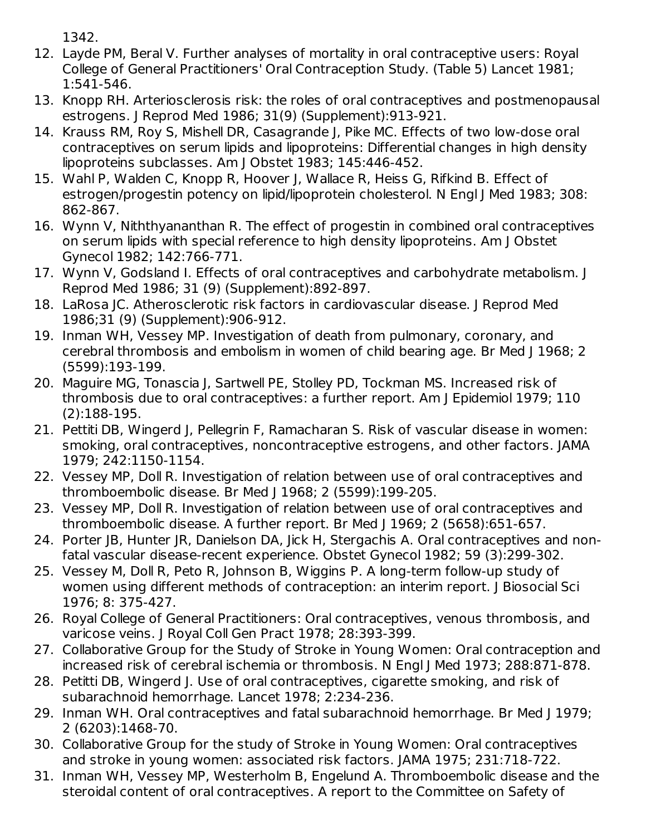1342.

- 12. Layde PM, Beral V. Further analyses of mortality in oral contraceptive users: Royal College of General Practitioners' Oral Contraception Study. (Table 5) Lancet 1981; 1:541-546.
- 13. Knopp RH. Arteriosclerosis risk: the roles of oral contraceptives and postmenopausal estrogens. J Reprod Med 1986; 31(9) (Supplement):913-921.
- 14. Krauss RM, Roy S, Mishell DR, Casagrande J, Pike MC. Effects of two low-dose oral contraceptives on serum lipids and lipoproteins: Differential changes in high density lipoproteins subclasses. Am J Obstet 1983; 145:446-452.
- 15. Wahl P, Walden C, Knopp R, Hoover J, Wallace R, Heiss G, Rifkind B. Effect of estrogen/progestin potency on lipid/lipoprotein cholesterol. N Engl J Med 1983; 308: 862-867.
- 16. Wynn V, Niththyananthan R. The effect of progestin in combined oral contraceptives on serum lipids with special reference to high density lipoproteins. Am J Obstet Gynecol 1982; 142:766-771.
- 17. Wynn V, Godsland I. Effects of oral contraceptives and carbohydrate metabolism. J Reprod Med 1986; 31 (9) (Supplement):892-897.
- 18. LaRosa JC. Atherosclerotic risk factors in cardiovascular disease. J Reprod Med 1986;31 (9) (Supplement):906-912.
- 19. Inman WH, Vessey MP. Investigation of death from pulmonary, coronary, and cerebral thrombosis and embolism in women of child bearing age. Br Med J 1968; 2 (5599):193-199.
- 20. Maguire MG, Tonascia J, Sartwell PE, Stolley PD, Tockman MS. Increased risk of thrombosis due to oral contraceptives: a further report. Am J Epidemiol 1979; 110 (2):188-195.
- 21. Pettiti DB, Wingerd J, Pellegrin F, Ramacharan S. Risk of vascular disease in women: smoking, oral contraceptives, noncontraceptive estrogens, and other factors. JAMA 1979; 242:1150-1154.
- 22. Vessey MP, Doll R. Investigation of relation between use of oral contraceptives and thromboembolic disease. Br Med J 1968; 2 (5599):199-205.
- 23. Vessey MP, Doll R. Investigation of relation between use of oral contraceptives and thromboembolic disease. A further report. Br Med | 1969; 2 (5658):651-657.
- 24. Porter JB, Hunter JR, Danielson DA, Jick H, Stergachis A. Oral contraceptives and nonfatal vascular disease-recent experience. Obstet Gynecol 1982; 59 (3):299-302.
- 25. Vessey M, Doll R, Peto R, Johnson B, Wiggins P. A long-term follow-up study of women using different methods of contraception: an interim report. J Biosocial Sci 1976; 8: 375-427.
- 26. Royal College of General Practitioners: Oral contraceptives, venous thrombosis, and varicose veins. J Royal Coll Gen Pract 1978; 28:393-399.
- 27. Collaborative Group for the Study of Stroke in Young Women: Oral contraception and increased risk of cerebral ischemia or thrombosis. N Engl J Med 1973; 288:871-878.
- 28. Petitti DB, Wingerd J. Use of oral contraceptives, cigarette smoking, and risk of subarachnoid hemorrhage. Lancet 1978; 2:234-236.
- 29. Inman WH. Oral contraceptives and fatal subarachnoid hemorrhage. Br Med J 1979; 2 (6203):1468-70.
- 30. Collaborative Group for the study of Stroke in Young Women: Oral contraceptives and stroke in young women: associated risk factors. JAMA 1975; 231:718-722.
- 31. Inman WH, Vessey MP, Westerholm B, Engelund A. Thromboembolic disease and the steroidal content of oral contraceptives. A report to the Committee on Safety of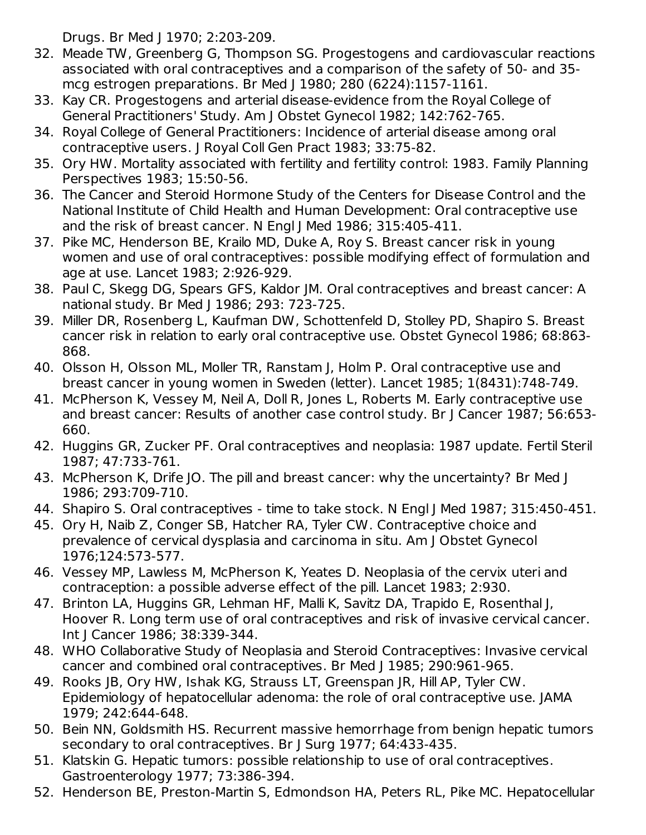Drugs. Br Med J 1970; 2:203-209.

- 32. Meade TW, Greenberg G, Thompson SG. Progestogens and cardiovascular reactions associated with oral contraceptives and a comparison of the safety of 50- and 35 mcg estrogen preparations. Br Med J 1980; 280 (6224):1157-1161.
- 33. Kay CR. Progestogens and arterial disease-evidence from the Royal College of General Practitioners' Study. Am J Obstet Gynecol 1982; 142:762-765.
- 34. Royal College of General Practitioners: Incidence of arterial disease among oral contraceptive users. J Royal Coll Gen Pract 1983; 33:75-82.
- 35. Ory HW. Mortality associated with fertility and fertility control: 1983. Family Planning Perspectives 1983; 15:50-56.
- 36. The Cancer and Steroid Hormone Study of the Centers for Disease Control and the National Institute of Child Health and Human Development: Oral contraceptive use and the risk of breast cancer. N Engl J Med 1986; 315:405-411.
- 37. Pike MC, Henderson BE, Krailo MD, Duke A, Roy S. Breast cancer risk in young women and use of oral contraceptives: possible modifying effect of formulation and age at use. Lancet 1983; 2:926-929.
- 38. Paul C, Skegg DG, Spears GFS, Kaldor JM. Oral contraceptives and breast cancer: A national study. Br Med J 1986; 293: 723-725.
- 39. Miller DR, Rosenberg L, Kaufman DW, Schottenfeld D, Stolley PD, Shapiro S. Breast cancer risk in relation to early oral contraceptive use. Obstet Gynecol 1986; 68:863- 868.
- 40. Olsson H, Olsson ML, Moller TR, Ranstam J, Holm P. Oral contraceptive use and breast cancer in young women in Sweden (letter). Lancet 1985; 1(8431):748-749.
- 41. McPherson K, Vessey M, Neil A, Doll R, Jones L, Roberts M. Early contraceptive use and breast cancer: Results of another case control study. Br J Cancer 1987; 56:653- 660.
- 42. Huggins GR, Zucker PF. Oral contraceptives and neoplasia: 1987 update. Fertil Steril 1987; 47:733-761.
- 43. McPherson K, Drife JO. The pill and breast cancer: why the uncertainty? Br Med J 1986; 293:709-710.
- 44. Shapiro S. Oral contraceptives time to take stock. N Engl J Med 1987; 315:450-451.
- 45. Ory H, Naib Z, Conger SB, Hatcher RA, Tyler CW. Contraceptive choice and prevalence of cervical dysplasia and carcinoma in situ. Am J Obstet Gynecol 1976;124:573-577.
- 46. Vessey MP, Lawless M, McPherson K, Yeates D. Neoplasia of the cervix uteri and contraception: a possible adverse effect of the pill. Lancet 1983; 2:930.
- 47. Brinton LA, Huggins GR, Lehman HF, Malli K, Savitz DA, Trapido E, Rosenthal J, Hoover R. Long term use of oral contraceptives and risk of invasive cervical cancer. Int J Cancer 1986; 38:339-344.
- 48. WHO Collaborative Study of Neoplasia and Steroid Contraceptives: Invasive cervical cancer and combined oral contraceptives. Br Med J 1985; 290:961-965.
- 49. Rooks JB, Ory HW, Ishak KG, Strauss LT, Greenspan JR, Hill AP, Tyler CW. Epidemiology of hepatocellular adenoma: the role of oral contraceptive use. JAMA 1979; 242:644-648.
- 50. Bein NN, Goldsmith HS. Recurrent massive hemorrhage from benign hepatic tumors secondary to oral contraceptives. Br J Surg 1977; 64:433-435.
- 51. Klatskin G. Hepatic tumors: possible relationship to use of oral contraceptives. Gastroenterology 1977; 73:386-394.
- 52. Henderson BE, Preston-Martin S, Edmondson HA, Peters RL, Pike MC. Hepatocellular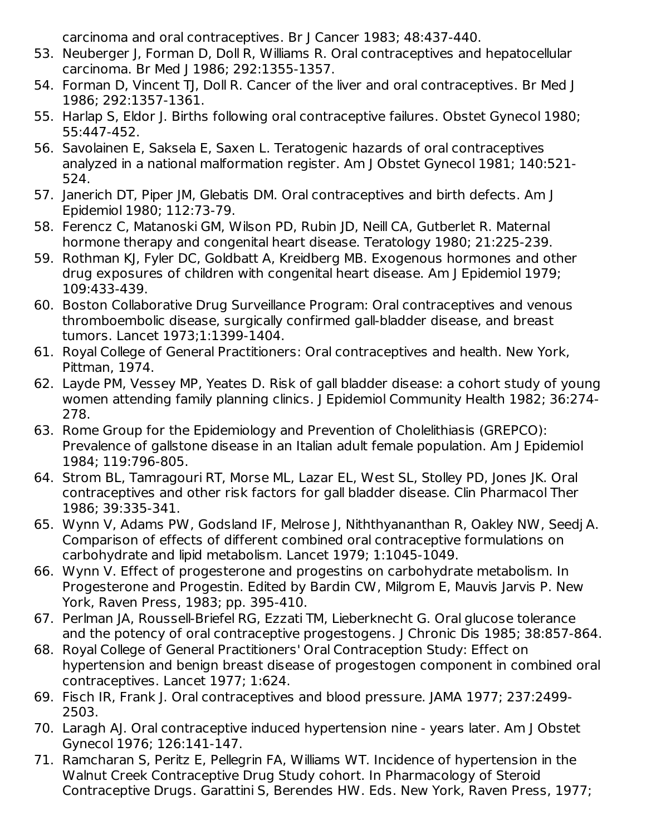carcinoma and oral contraceptives. Br J Cancer 1983; 48:437-440.

- 53. Neuberger J, Forman D, Doll R, Williams R. Oral contraceptives and hepatocellular carcinoma. Br Med J 1986; 292:1355-1357.
- 54. Forman D, Vincent TJ, Doll R. Cancer of the liver and oral contraceptives. Br Med J 1986; 292:1357-1361.
- 55. Harlap S, Eldor J. Births following oral contraceptive failures. Obstet Gynecol 1980; 55:447-452.
- 56. Savolainen E, Saksela E, Saxen L. Teratogenic hazards of oral contraceptives analyzed in a national malformation register. Am J Obstet Gynecol 1981; 140:521- 524.
- 57. Janerich DT, Piper JM, Glebatis DM. Oral contraceptives and birth defects. Am J Epidemiol 1980; 112:73-79.
- 58. Ferencz C, Matanoski GM, Wilson PD, Rubin JD, Neill CA, Gutberlet R. Maternal hormone therapy and congenital heart disease. Teratology 1980; 21:225-239.
- 59. Rothman KJ, Fyler DC, Goldbatt A, Kreidberg MB. Exogenous hormones and other drug exposures of children with congenital heart disease. Am J Epidemiol 1979; 109:433-439.
- 60. Boston Collaborative Drug Surveillance Program: Oral contraceptives and venous thromboembolic disease, surgically confirmed gall-bladder disease, and breast tumors. Lancet 1973;1:1399-1404.
- 61. Royal College of General Practitioners: Oral contraceptives and health. New York, Pittman, 1974.
- 62. Layde PM, Vessey MP, Yeates D. Risk of gall bladder disease: a cohort study of young women attending family planning clinics. J Epidemiol Community Health 1982; 36:274- 278.
- 63. Rome Group for the Epidemiology and Prevention of Cholelithiasis (GREPCO): Prevalence of gallstone disease in an Italian adult female population. Am J Epidemiol 1984; 119:796-805.
- 64. Strom BL, Tamragouri RT, Morse ML, Lazar EL, West SL, Stolley PD, Jones JK. Oral contraceptives and other risk factors for gall bladder disease. Clin Pharmacol Ther 1986; 39:335-341.
- 65. Wynn V, Adams PW, Godsland IF, Melrose J, Niththyananthan R, Oakley NW, Seedj A. Comparison of effects of different combined oral contraceptive formulations on carbohydrate and lipid metabolism. Lancet 1979; 1:1045-1049.
- 66. Wynn V. Effect of progesterone and progestins on carbohydrate metabolism. In Progesterone and Progestin. Edited by Bardin CW, Milgrom E, Mauvis Jarvis P. New York, Raven Press, 1983; pp. 395-410.
- 67. Perlman JA, Roussell-Briefel RG, Ezzati TM, Lieberknecht G. Oral glucose tolerance and the potency of oral contraceptive progestogens. J Chronic Dis 1985; 38:857-864.
- 68. Royal College of General Practitioners' Oral Contraception Study: Effect on hypertension and benign breast disease of progestogen component in combined oral contraceptives. Lancet 1977; 1:624.
- 69. Fisch IR, Frank J. Oral contraceptives and blood pressure. JAMA 1977; 237:2499- 2503.
- 70. Laragh AJ. Oral contraceptive induced hypertension nine years later. Am J Obstet Gynecol 1976; 126:141-147.
- 71. Ramcharan S, Peritz E, Pellegrin FA, Williams WT. Incidence of hypertension in the Walnut Creek Contraceptive Drug Study cohort. In Pharmacology of Steroid Contraceptive Drugs. Garattini S, Berendes HW. Eds. New York, Raven Press, 1977;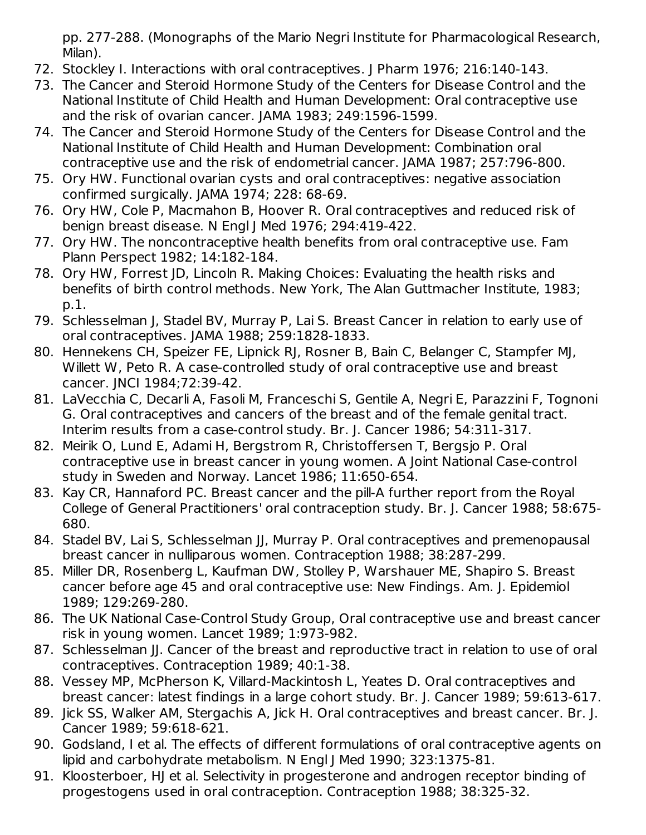pp. 277-288. (Monographs of the Mario Negri Institute for Pharmacological Research, Milan).

- 72. Stockley I. Interactions with oral contraceptives. J Pharm 1976; 216:140-143.
- 73. The Cancer and Steroid Hormone Study of the Centers for Disease Control and the National Institute of Child Health and Human Development: Oral contraceptive use and the risk of ovarian cancer. JAMA 1983; 249:1596-1599.
- 74. The Cancer and Steroid Hormone Study of the Centers for Disease Control and the National Institute of Child Health and Human Development: Combination oral contraceptive use and the risk of endometrial cancer. JAMA 1987; 257:796-800.
- 75. Ory HW. Functional ovarian cysts and oral contraceptives: negative association confirmed surgically. JAMA 1974; 228: 68-69.
- 76. Ory HW, Cole P, Macmahon B, Hoover R. Oral contraceptives and reduced risk of benign breast disease. N Engl J Med 1976; 294:419-422.
- 77. Ory HW. The noncontraceptive health benefits from oral contraceptive use. Fam Plann Perspect 1982; 14:182-184.
- 78. Ory HW, Forrest JD, Lincoln R. Making Choices: Evaluating the health risks and benefits of birth control methods. New York, The Alan Guttmacher Institute, 1983; p.1.
- 79. Schlesselman J, Stadel BV, Murray P, Lai S. Breast Cancer in relation to early use of oral contraceptives. JAMA 1988; 259:1828-1833.
- 80. Hennekens CH, Speizer FE, Lipnick RJ, Rosner B, Bain C, Belanger C, Stampfer MJ, Willett W, Peto R. A case-controlled study of oral contraceptive use and breast cancer. JNCI 1984;72:39-42.
- 81. LaVecchia C, Decarli A, Fasoli M, Franceschi S, Gentile A, Negri E, Parazzini F, Tognoni G. Oral contraceptives and cancers of the breast and of the female genital tract. Interim results from a case-control study. Br. J. Cancer 1986; 54:311-317.
- 82. Meirik O, Lund E, Adami H, Bergstrom R, Christoffersen T, Bergsjo P. Oral contraceptive use in breast cancer in young women. A Joint National Case-control study in Sweden and Norway. Lancet 1986; 11:650-654.
- 83. Kay CR, Hannaford PC. Breast cancer and the pill-A further report from the Royal College of General Practitioners' oral contraception study. Br. J. Cancer 1988; 58:675- 680.
- 84. Stadel BV, Lai S, Schlesselman JJ, Murray P. Oral contraceptives and premenopausal breast cancer in nulliparous women. Contraception 1988; 38:287-299.
- 85. Miller DR, Rosenberg L, Kaufman DW, Stolley P, Warshauer ME, Shapiro S. Breast cancer before age 45 and oral contraceptive use: New Findings. Am. J. Epidemiol 1989; 129:269-280.
- 86. The UK National Case-Control Study Group, Oral contraceptive use and breast cancer risk in young women. Lancet 1989; 1:973-982.
- 87. Schlesselman JJ. Cancer of the breast and reproductive tract in relation to use of oral contraceptives. Contraception 1989; 40:1-38.
- 88. Vessey MP, McPherson K, Villard-Mackintosh L, Yeates D. Oral contraceptives and breast cancer: latest findings in a large cohort study. Br. J. Cancer 1989; 59:613-617.
- 89. Jick SS, Walker AM, Stergachis A, Jick H. Oral contraceptives and breast cancer. Br. J. Cancer 1989; 59:618-621.
- 90. Godsland, I et al. The effects of different formulations of oral contraceptive agents on lipid and carbohydrate metabolism. N Engl J Med 1990; 323:1375-81.
- 91. Kloosterboer, HJ et al. Selectivity in progesterone and androgen receptor binding of progestogens used in oral contraception. Contraception 1988; 38:325-32.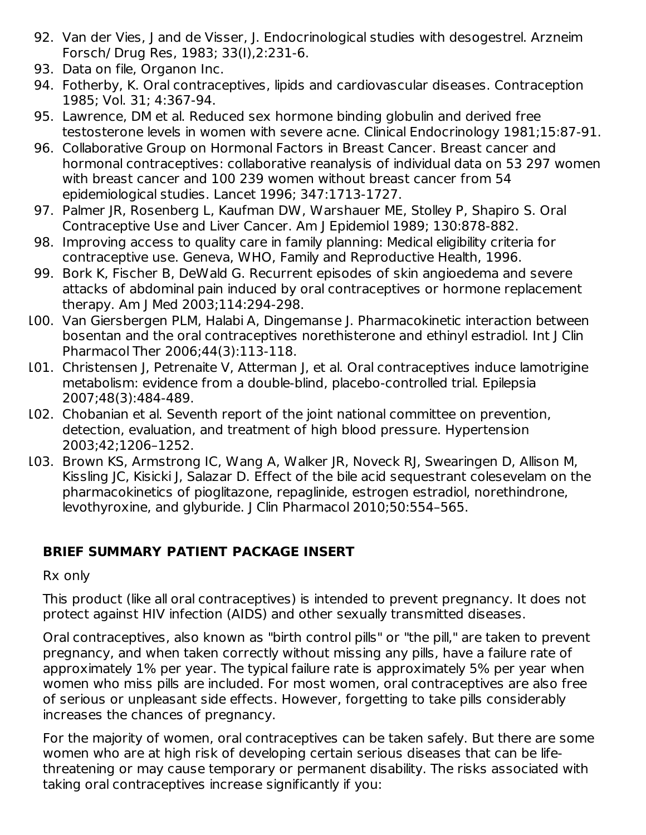- 92. Van der Vies, J and de Visser, J. Endocrinological studies with desogestrel. Arzneim Forsch/ Drug Res, 1983; 33(I),2:231-6.
- 93. Data on file, Organon Inc.
- 94. Fotherby, K. Oral contraceptives, lipids and cardiovascular diseases. Contraception 1985; Vol. 31; 4:367-94.
- 95. Lawrence, DM et al. Reduced sex hormone binding globulin and derived free testosterone levels in women with severe acne. Clinical Endocrinology 1981;15:87-91.
- 96. Collaborative Group on Hormonal Factors in Breast Cancer. Breast cancer and hormonal contraceptives: collaborative reanalysis of individual data on 53 297 women with breast cancer and 100 239 women without breast cancer from 54 epidemiological studies. Lancet 1996; 347:1713-1727.
- 97. Palmer JR, Rosenberg L, Kaufman DW, Warshauer ME, Stolley P, Shapiro S. Oral Contraceptive Use and Liver Cancer. Am J Epidemiol 1989; 130:878-882.
- 98. Improving access to quality care in family planning: Medical eligibility criteria for contraceptive use. Geneva, WHO, Family and Reproductive Health, 1996.
- 99. Bork K, Fischer B, DeWald G. Recurrent episodes of skin angioedema and severe attacks of abdominal pain induced by oral contraceptives or hormone replacement therapy. Am J Med 2003;114:294-298.
- 100. Van Giersbergen PLM, Halabi A, Dingemanse J. Pharmacokinetic interaction between bosentan and the oral contraceptives norethisterone and ethinyl estradiol. Int J Clin Pharmacol Ther 2006;44(3):113-118.
- 101. Christensen J, Petrenaite V, Atterman J, et al. Oral contraceptives induce lamotrigine metabolism: evidence from a double-blind, placebo-controlled trial. Epilepsia 2007;48(3):484-489.
- 102. Chobanian et al. Seventh report of the joint national committee on prevention, detection, evaluation, and treatment of high blood pressure. Hypertension 2003;42;1206–1252.
- 103. Brown KS, Armstrong IC, Wang A, Walker JR, Noveck RJ, Swearingen D, Allison M, Kissling JC, Kisicki J, Salazar D. Effect of the bile acid sequestrant colesevelam on the pharmacokinetics of pioglitazone, repaglinide, estrogen estradiol, norethindrone, levothyroxine, and glyburide. J Clin Pharmacol 2010;50:554–565.

# **BRIEF SUMMARY PATIENT PACKAGE INSERT**

### Rx only

This product (like all oral contraceptives) is intended to prevent pregnancy. It does not protect against HIV infection (AIDS) and other sexually transmitted diseases.

Oral contraceptives, also known as "birth control pills" or "the pill," are taken to prevent pregnancy, and when taken correctly without missing any pills, have a failure rate of approximately 1% per year. The typical failure rate is approximately 5% per year when women who miss pills are included. For most women, oral contraceptives are also free of serious or unpleasant side effects. However, forgetting to take pills considerably increases the chances of pregnancy.

For the majority of women, oral contraceptives can be taken safely. But there are some women who are at high risk of developing certain serious diseases that can be lifethreatening or may cause temporary or permanent disability. The risks associated with taking oral contraceptives increase significantly if you: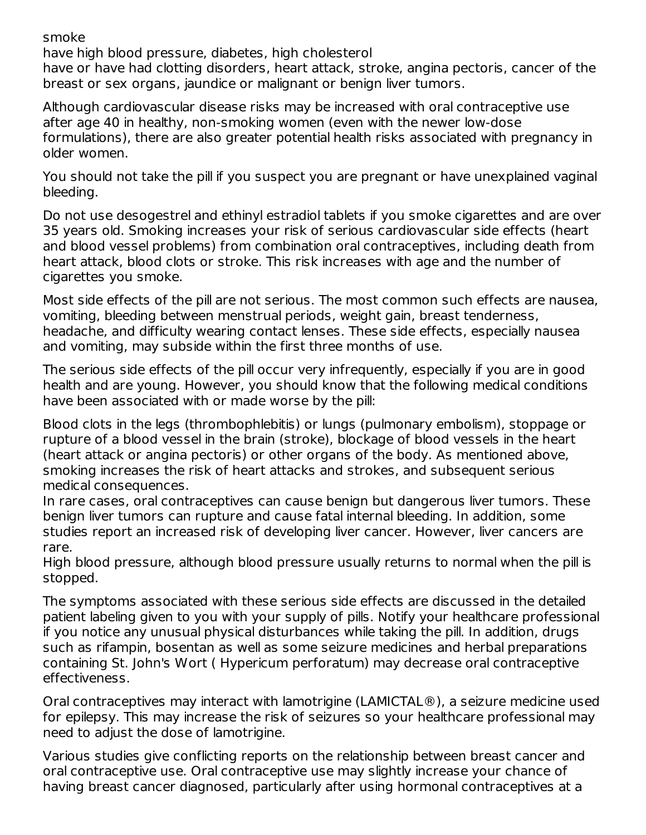smoke

have high blood pressure, diabetes, high cholesterol

have or have had clotting disorders, heart attack, stroke, angina pectoris, cancer of the breast or sex organs, jaundice or malignant or benign liver tumors.

Although cardiovascular disease risks may be increased with oral contraceptive use after age 40 in healthy, non-smoking women (even with the newer low-dose formulations), there are also greater potential health risks associated with pregnancy in older women.

You should not take the pill if you suspect you are pregnant or have unexplained vaginal bleeding.

Do not use desogestrel and ethinyl estradiol tablets if you smoke cigarettes and are over 35 years old. Smoking increases your risk of serious cardiovascular side effects (heart and blood vessel problems) from combination oral contraceptives, including death from heart attack, blood clots or stroke. This risk increases with age and the number of cigarettes you smoke.

Most side effects of the pill are not serious. The most common such effects are nausea, vomiting, bleeding between menstrual periods, weight gain, breast tenderness, headache, and difficulty wearing contact lenses. These side effects, especially nausea and vomiting, may subside within the first three months of use.

The serious side effects of the pill occur very infrequently, especially if you are in good health and are young. However, you should know that the following medical conditions have been associated with or made worse by the pill:

Blood clots in the legs (thrombophlebitis) or lungs (pulmonary embolism), stoppage or rupture of a blood vessel in the brain (stroke), blockage of blood vessels in the heart (heart attack or angina pectoris) or other organs of the body. As mentioned above, smoking increases the risk of heart attacks and strokes, and subsequent serious medical consequences.

In rare cases, oral contraceptives can cause benign but dangerous liver tumors. These benign liver tumors can rupture and cause fatal internal bleeding. In addition, some studies report an increased risk of developing liver cancer. However, liver cancers are rare.

High blood pressure, although blood pressure usually returns to normal when the pill is stopped.

The symptoms associated with these serious side effects are discussed in the detailed patient labeling given to you with your supply of pills. Notify your healthcare professional if you notice any unusual physical disturbances while taking the pill. In addition, drugs such as rifampin, bosentan as well as some seizure medicines and herbal preparations containing St. John's Wort ( Hypericum perforatum) may decrease oral contraceptive effectiveness.

Oral contraceptives may interact with lamotrigine (LAMICTAL®), a seizure medicine used for epilepsy. This may increase the risk of seizures so your healthcare professional may need to adjust the dose of lamotrigine.

Various studies give conflicting reports on the relationship between breast cancer and oral contraceptive use. Oral contraceptive use may slightly increase your chance of having breast cancer diagnosed, particularly after using hormonal contraceptives at a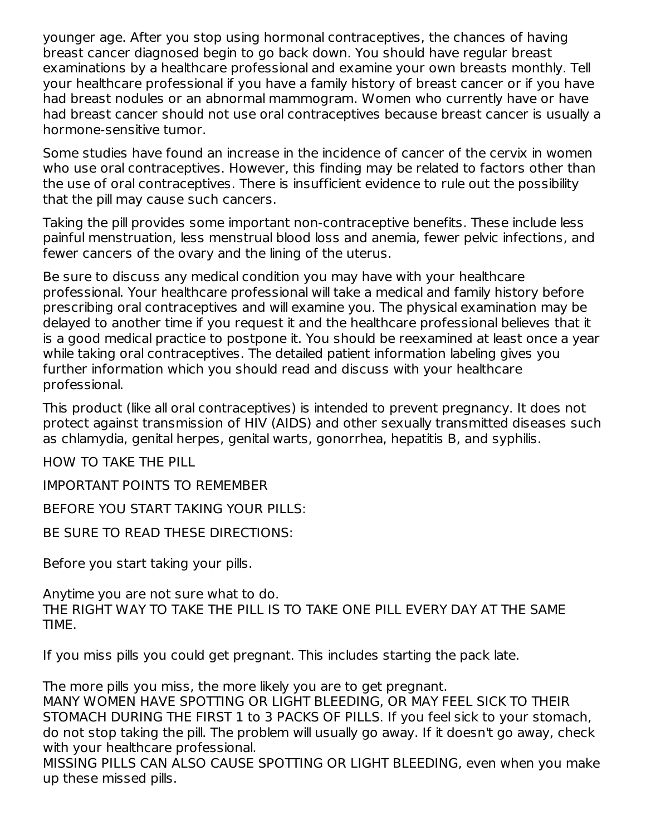younger age. After you stop using hormonal contraceptives, the chances of having breast cancer diagnosed begin to go back down. You should have regular breast examinations by a healthcare professional and examine your own breasts monthly. Tell your healthcare professional if you have a family history of breast cancer or if you have had breast nodules or an abnormal mammogram. Women who currently have or have had breast cancer should not use oral contraceptives because breast cancer is usually a hormone-sensitive tumor.

Some studies have found an increase in the incidence of cancer of the cervix in women who use oral contraceptives. However, this finding may be related to factors other than the use of oral contraceptives. There is insufficient evidence to rule out the possibility that the pill may cause such cancers.

Taking the pill provides some important non-contraceptive benefits. These include less painful menstruation, less menstrual blood loss and anemia, fewer pelvic infections, and fewer cancers of the ovary and the lining of the uterus.

Be sure to discuss any medical condition you may have with your healthcare professional. Your healthcare professional will take a medical and family history before prescribing oral contraceptives and will examine you. The physical examination may be delayed to another time if you request it and the healthcare professional believes that it is a good medical practice to postpone it. You should be reexamined at least once a year while taking oral contraceptives. The detailed patient information labeling gives you further information which you should read and discuss with your healthcare professional.

This product (like all oral contraceptives) is intended to prevent pregnancy. It does not protect against transmission of HIV (AIDS) and other sexually transmitted diseases such as chlamydia, genital herpes, genital warts, gonorrhea, hepatitis B, and syphilis.

HOW TO TAKE THE PILL

IMPORTANT POINTS TO REMEMBER

BEFORE YOU START TAKING YOUR PILLS:

BE SURE TO READ THESE DIRECTIONS:

Before you start taking your pills.

Anytime you are not sure what to do. THE RIGHT WAY TO TAKE THE PILL IS TO TAKE ONE PILL EVERY DAY AT THE SAME TIME.

If you miss pills you could get pregnant. This includes starting the pack late.

The more pills you miss, the more likely you are to get pregnant. MANY WOMEN HAVE SPOTTING OR LIGHT BLEEDING, OR MAY FEEL SICK TO THEIR STOMACH DURING THE FIRST 1 to 3 PACKS OF PILLS. If you feel sick to your stomach, do not stop taking the pill. The problem will usually go away. If it doesn't go away, check with your healthcare professional.

MISSING PILLS CAN ALSO CAUSE SPOTTING OR LIGHT BLEEDING, even when you make up these missed pills.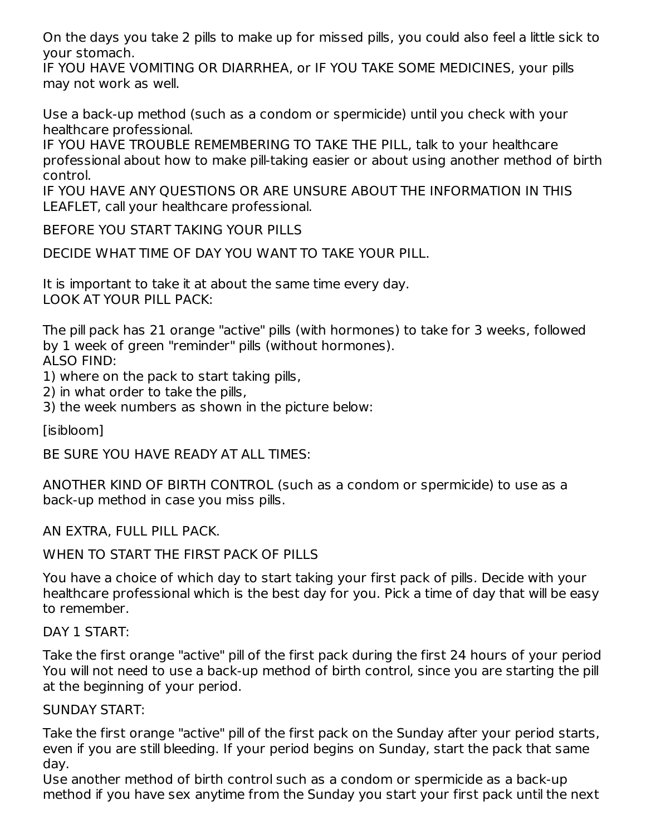On the days you take 2 pills to make up for missed pills, you could also feel a little sick to your stomach.

IF YOU HAVE VOMITING OR DIARRHEA, or IF YOU TAKE SOME MEDICINES, your pills may not work as well.

Use a back-up method (such as a condom or spermicide) until you check with your healthcare professional.

IF YOU HAVE TROUBLE REMEMBERING TO TAKE THE PILL, talk to your healthcare professional about how to make pill-taking easier or about using another method of birth control.

IF YOU HAVE ANY QUESTIONS OR ARE UNSURE ABOUT THE INFORMATION IN THIS LEAFLET, call your healthcare professional.

BEFORE YOU START TAKING YOUR PILLS

DECIDE WHAT TIME OF DAY YOU WANT TO TAKE YOUR PILL.

It is important to take it at about the same time every day. LOOK AT YOUR PILL PACK:

The pill pack has 21 orange "active" pills (with hormones) to take for 3 weeks, followed by 1 week of green "reminder" pills (without hormones). ALSO FIND:

1) where on the pack to start taking pills,

2) in what order to take the pills,

3) the week numbers as shown in the picture below:

[isibloom]

BE SURE YOU HAVE READY AT ALL TIMES:

ANOTHER KIND OF BIRTH CONTROL (such as a condom or spermicide) to use as a back-up method in case you miss pills.

AN EXTRA, FULL PILL PACK.

WHEN TO START THE FIRST PACK OF PILLS

You have a choice of which day to start taking your first pack of pills. Decide with your healthcare professional which is the best day for you. Pick a time of day that will be easy to remember.

DAY 1 START:

Take the first orange "active" pill of the first pack during the first 24 hours of your period You will not need to use a back-up method of birth control, since you are starting the pill at the beginning of your period.

#### SUNDAY START:

Take the first orange "active" pill of the first pack on the Sunday after your period starts, even if you are still bleeding. If your period begins on Sunday, start the pack that same day.

Use another method of birth control such as a condom or spermicide as a back-up method if you have sex anytime from the Sunday you start your first pack until the next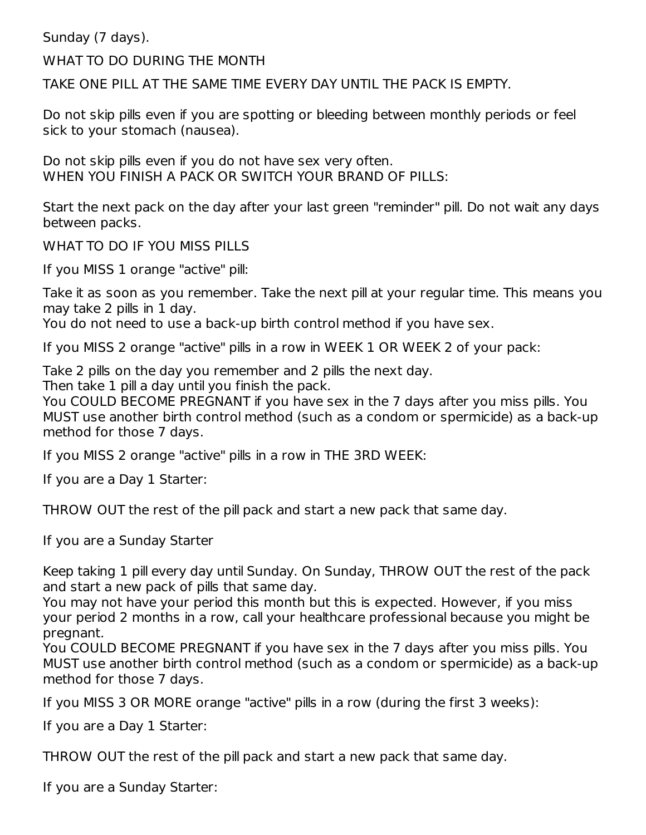Sunday (7 days).

WHAT TO DO DURING THE MONTH

TAKE ONE PILL AT THE SAME TIME EVERY DAY UNTIL THE PACK IS EMPTY.

Do not skip pills even if you are spotting or bleeding between monthly periods or feel sick to your stomach (nausea).

Do not skip pills even if you do not have sex very often. WHEN YOU FINISH A PACK OR SWITCH YOUR BRAND OF PILLS:

Start the next pack on the day after your last green "reminder" pill. Do not wait any days between packs.

WHAT TO DO IF YOU MISS PILLS

If you MISS 1 orange "active" pill:

Take it as soon as you remember. Take the next pill at your regular time. This means you may take 2 pills in 1 day.

You do not need to use a back-up birth control method if you have sex.

If you MISS 2 orange "active" pills in a row in WEEK 1 OR WEEK 2 of your pack:

Take 2 pills on the day you remember and 2 pills the next day.

Then take 1 pill a day until you finish the pack.

You COULD BECOME PREGNANT if you have sex in the 7 days after you miss pills. You MUST use another birth control method (such as a condom or spermicide) as a back-up method for those 7 days.

If you MISS 2 orange "active" pills in a row in THE 3RD WEEK:

If you are a Day 1 Starter:

THROW OUT the rest of the pill pack and start a new pack that same day.

If you are a Sunday Starter

Keep taking 1 pill every day until Sunday. On Sunday, THROW OUT the rest of the pack and start a new pack of pills that same day.

You may not have your period this month but this is expected. However, if you miss your period 2 months in a row, call your healthcare professional because you might be pregnant.

You COULD BECOME PREGNANT if you have sex in the 7 days after you miss pills. You MUST use another birth control method (such as a condom or spermicide) as a back-up method for those 7 days.

If you MISS 3 OR MORE orange "active" pills in a row (during the first 3 weeks):

If you are a Day 1 Starter:

THROW OUT the rest of the pill pack and start a new pack that same day.

If you are a Sunday Starter: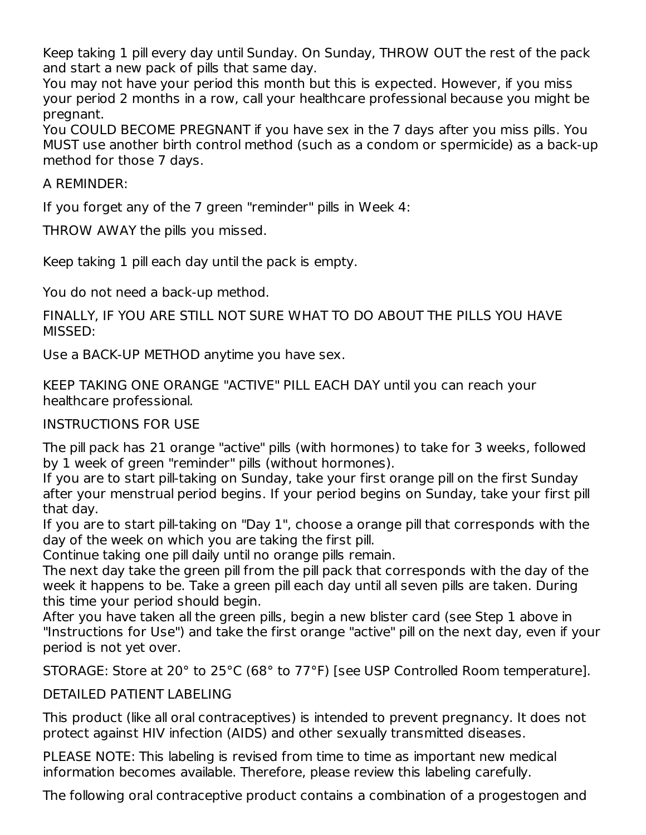Keep taking 1 pill every day until Sunday. On Sunday, THROW OUT the rest of the pack and start a new pack of pills that same day.

You may not have your period this month but this is expected. However, if you miss your period 2 months in a row, call your healthcare professional because you might be pregnant.

You COULD BECOME PREGNANT if you have sex in the 7 days after you miss pills. You MUST use another birth control method (such as a condom or spermicide) as a back-up method for those 7 days.

A REMINDER:

If you forget any of the 7 green "reminder" pills in Week 4:

THROW AWAY the pills you missed.

Keep taking 1 pill each day until the pack is empty.

You do not need a back-up method.

FINALLY, IF YOU ARE STILL NOT SURE WHAT TO DO ABOUT THE PILLS YOU HAVE MISSED:

Use a BACK-UP METHOD anytime you have sex.

KEEP TAKING ONE ORANGE "ACTIVE" PILL EACH DAY until you can reach your healthcare professional.

### INSTRUCTIONS FOR USE

The pill pack has 21 orange "active" pills (with hormones) to take for 3 weeks, followed by 1 week of green "reminder" pills (without hormones).

If you are to start pill-taking on Sunday, take your first orange pill on the first Sunday after your menstrual period begins. If your period begins on Sunday, take your first pill that day.

If you are to start pill-taking on "Day 1", choose a orange pill that corresponds with the day of the week on which you are taking the first pill.

Continue taking one pill daily until no orange pills remain.

The next day take the green pill from the pill pack that corresponds with the day of the week it happens to be. Take a green pill each day until all seven pills are taken. During this time your period should begin.

After you have taken all the green pills, begin a new blister card (see Step 1 above in "Instructions for Use") and take the first orange "active" pill on the next day, even if your period is not yet over.

STORAGE: Store at 20° to 25°C (68° to 77°F) [see USP Controlled Room temperature].

DETAILED PATIENT LABELING

This product (like all oral contraceptives) is intended to prevent pregnancy. It does not protect against HIV infection (AIDS) and other sexually transmitted diseases.

PLEASE NOTE: This labeling is revised from time to time as important new medical information becomes available. Therefore, please review this labeling carefully.

The following oral contraceptive product contains a combination of a progestogen and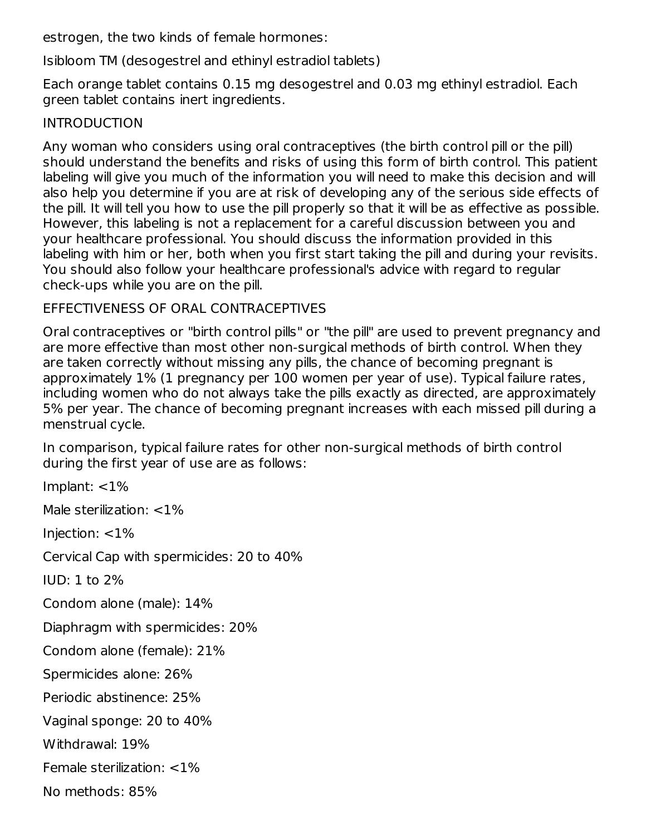estrogen, the two kinds of female hormones:

Isibloom TM (desogestrel and ethinyl estradiol tablets)

Each orange tablet contains 0.15 mg desogestrel and 0.03 mg ethinyl estradiol. Each green tablet contains inert ingredients.

### INTRODUCTION

Any woman who considers using oral contraceptives (the birth control pill or the pill) should understand the benefits and risks of using this form of birth control. This patient labeling will give you much of the information you will need to make this decision and will also help you determine if you are at risk of developing any of the serious side effects of the pill. It will tell you how to use the pill properly so that it will be as effective as possible. However, this labeling is not a replacement for a careful discussion between you and your healthcare professional. You should discuss the information provided in this labeling with him or her, both when you first start taking the pill and during your revisits. You should also follow your healthcare professional's advice with regard to regular check-ups while you are on the pill.

### EFFECTIVENESS OF ORAL CONTRACEPTIVES

Oral contraceptives or "birth control pills" or "the pill" are used to prevent pregnancy and are more effective than most other non-surgical methods of birth control. When they are taken correctly without missing any pills, the chance of becoming pregnant is approximately 1% (1 pregnancy per 100 women per year of use). Typical failure rates, including women who do not always take the pills exactly as directed, are approximately 5% per year. The chance of becoming pregnant increases with each missed pill during a menstrual cycle.

In comparison, typical failure rates for other non-surgical methods of birth control during the first year of use are as follows:

Implant: <1% Male sterilization: <1% Injection: <1% Cervical Cap with spermicides: 20 to 40% IUD: 1 to 2% Condom alone (male): 14% Diaphragm with spermicides: 20% Condom alone (female): 21% Spermicides alone: 26% Periodic abstinence: 25% Vaginal sponge: 20 to 40% Withdrawal: 19% Female sterilization: <1% No methods: 85%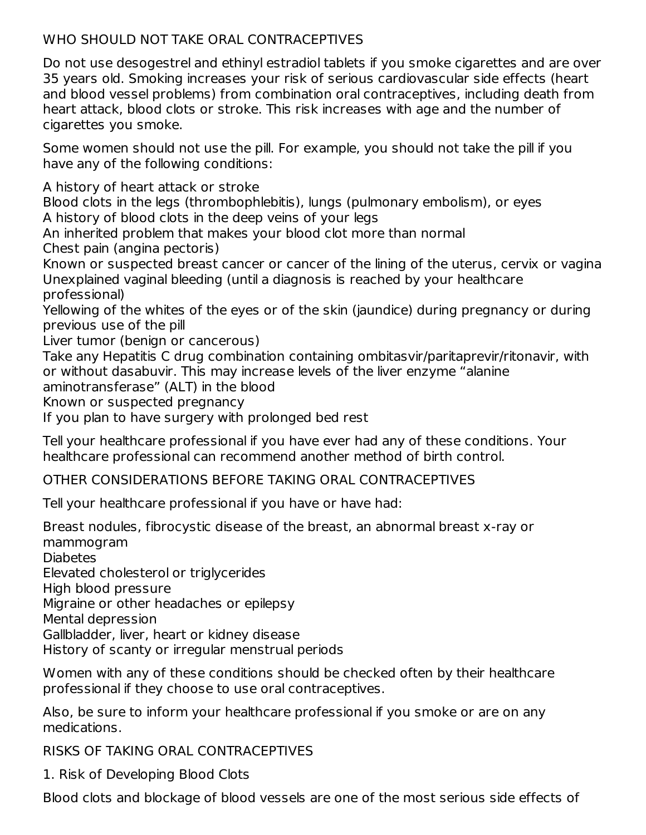### WHO SHOULD NOT TAKE ORAL CONTRACEPTIVES

Do not use desogestrel and ethinyl estradiol tablets if you smoke cigarettes and are over 35 years old. Smoking increases your risk of serious cardiovascular side effects (heart and blood vessel problems) from combination oral contraceptives, including death from heart attack, blood clots or stroke. This risk increases with age and the number of cigarettes you smoke.

Some women should not use the pill. For example, you should not take the pill if you have any of the following conditions:

A history of heart attack or stroke

Blood clots in the legs (thrombophlebitis), lungs (pulmonary embolism), or eyes A history of blood clots in the deep veins of your legs

An inherited problem that makes your blood clot more than normal

Chest pain (angina pectoris)

Known or suspected breast cancer or cancer of the lining of the uterus, cervix or vagina Unexplained vaginal bleeding (until a diagnosis is reached by your healthcare professional)

Yellowing of the whites of the eyes or of the skin (jaundice) during pregnancy or during previous use of the pill

Liver tumor (benign or cancerous)

Take any Hepatitis C drug combination containing ombitasvir/paritaprevir/ritonavir, with or without dasabuvir. This may increase levels of the liver enzyme "alanine

aminotransferase" (ALT) in the blood

Known or suspected pregnancy

If you plan to have surgery with prolonged bed rest

Tell your healthcare professional if you have ever had any of these conditions. Your healthcare professional can recommend another method of birth control.

OTHER CONSIDERATIONS BEFORE TAKING ORAL CONTRACEPTIVES

Tell your healthcare professional if you have or have had:

Breast nodules, fibrocystic disease of the breast, an abnormal breast x-ray or mammogram Diabetes Elevated cholesterol or triglycerides High blood pressure Migraine or other headaches or epilepsy Mental depression Gallbladder, liver, heart or kidney disease History of scanty or irregular menstrual periods

Women with any of these conditions should be checked often by their healthcare professional if they choose to use oral contraceptives.

Also, be sure to inform your healthcare professional if you smoke or are on any medications.

RISKS OF TAKING ORAL CONTRACEPTIVES

1. Risk of Developing Blood Clots

Blood clots and blockage of blood vessels are one of the most serious side effects of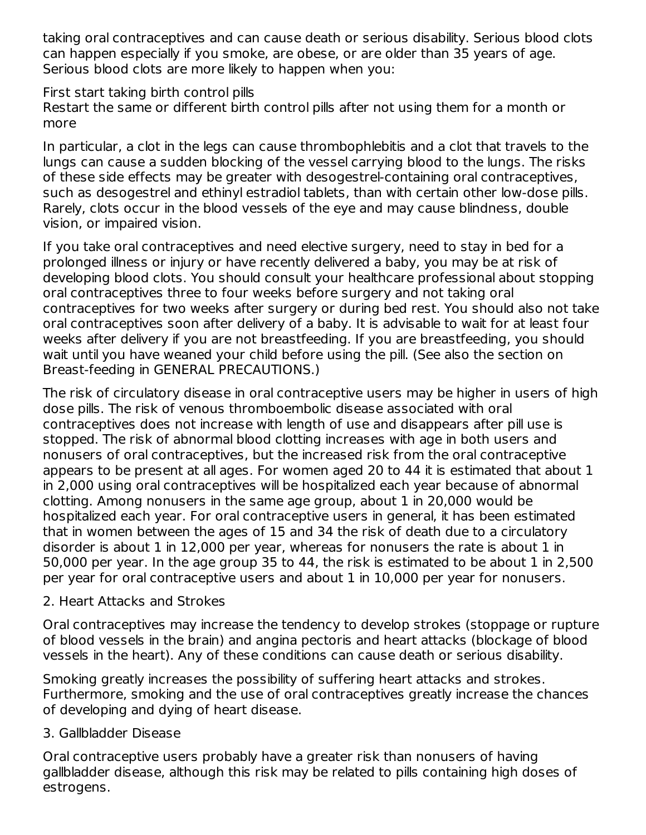taking oral contraceptives and can cause death or serious disability. Serious blood clots can happen especially if you smoke, are obese, or are older than 35 years of age. Serious blood clots are more likely to happen when you:

First start taking birth control pills Restart the same or different birth control pills after not using them for a month or more

In particular, a clot in the legs can cause thrombophlebitis and a clot that travels to the lungs can cause a sudden blocking of the vessel carrying blood to the lungs. The risks of these side effects may be greater with desogestrel-containing oral contraceptives, such as desogestrel and ethinyl estradiol tablets, than with certain other low-dose pills. Rarely, clots occur in the blood vessels of the eye and may cause blindness, double vision, or impaired vision.

If you take oral contraceptives and need elective surgery, need to stay in bed for a prolonged illness or injury or have recently delivered a baby, you may be at risk of developing blood clots. You should consult your healthcare professional about stopping oral contraceptives three to four weeks before surgery and not taking oral contraceptives for two weeks after surgery or during bed rest. You should also not take oral contraceptives soon after delivery of a baby. It is advisable to wait for at least four weeks after delivery if you are not breastfeeding. If you are breastfeeding, you should wait until you have weaned your child before using the pill. (See also the section on Breast-feeding in GENERAL PRECAUTIONS.)

The risk of circulatory disease in oral contraceptive users may be higher in users of high dose pills. The risk of venous thromboembolic disease associated with oral contraceptives does not increase with length of use and disappears after pill use is stopped. The risk of abnormal blood clotting increases with age in both users and nonusers of oral contraceptives, but the increased risk from the oral contraceptive appears to be present at all ages. For women aged 20 to 44 it is estimated that about 1 in 2,000 using oral contraceptives will be hospitalized each year because of abnormal clotting. Among nonusers in the same age group, about 1 in 20,000 would be hospitalized each year. For oral contraceptive users in general, it has been estimated that in women between the ages of 15 and 34 the risk of death due to a circulatory disorder is about 1 in 12,000 per year, whereas for nonusers the rate is about 1 in 50,000 per year. In the age group 35 to 44, the risk is estimated to be about 1 in 2,500 per year for oral contraceptive users and about 1 in 10,000 per year for nonusers.

#### 2. Heart Attacks and Strokes

Oral contraceptives may increase the tendency to develop strokes (stoppage or rupture of blood vessels in the brain) and angina pectoris and heart attacks (blockage of blood vessels in the heart). Any of these conditions can cause death or serious disability.

Smoking greatly increases the possibility of suffering heart attacks and strokes. Furthermore, smoking and the use of oral contraceptives greatly increase the chances of developing and dying of heart disease.

#### 3. Gallbladder Disease

Oral contraceptive users probably have a greater risk than nonusers of having gallbladder disease, although this risk may be related to pills containing high doses of estrogens.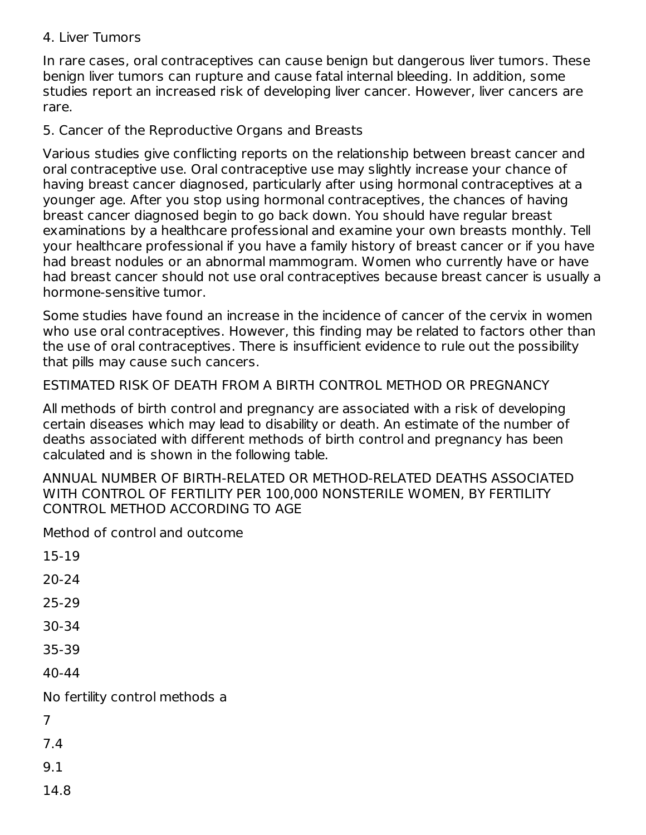#### 4. Liver Tumors

In rare cases, oral contraceptives can cause benign but dangerous liver tumors. These benign liver tumors can rupture and cause fatal internal bleeding. In addition, some studies report an increased risk of developing liver cancer. However, liver cancers are rare.

5. Cancer of the Reproductive Organs and Breasts

Various studies give conflicting reports on the relationship between breast cancer and oral contraceptive use. Oral contraceptive use may slightly increase your chance of having breast cancer diagnosed, particularly after using hormonal contraceptives at a younger age. After you stop using hormonal contraceptives, the chances of having breast cancer diagnosed begin to go back down. You should have regular breast examinations by a healthcare professional and examine your own breasts monthly. Tell your healthcare professional if you have a family history of breast cancer or if you have had breast nodules or an abnormal mammogram. Women who currently have or have had breast cancer should not use oral contraceptives because breast cancer is usually a hormone-sensitive tumor.

Some studies have found an increase in the incidence of cancer of the cervix in women who use oral contraceptives. However, this finding may be related to factors other than the use of oral contraceptives. There is insufficient evidence to rule out the possibility that pills may cause such cancers.

ESTIMATED RISK OF DEATH FROM A BIRTH CONTROL METHOD OR PREGNANCY

All methods of birth control and pregnancy are associated with a risk of developing certain diseases which may lead to disability or death. An estimate of the number of deaths associated with different methods of birth control and pregnancy has been calculated and is shown in the following table.

ANNUAL NUMBER OF BIRTH-RELATED OR METHOD-RELATED DEATHS ASSOCIATED WITH CONTROL OF FERTILITY PER 100,000 NONSTERILE WOMEN, BY FERTILITY CONTROL METHOD ACCORDING TO AGE

Method of control and outcome

| 15-19                          |
|--------------------------------|
| $20 - 24$                      |
| $25 - 29$                      |
| 30-34                          |
| 35-39                          |
| 40-44                          |
| No fertility control methods a |
| $\overline{7}$                 |
| 7.4                            |
| 9.1                            |
| 14.8                           |
|                                |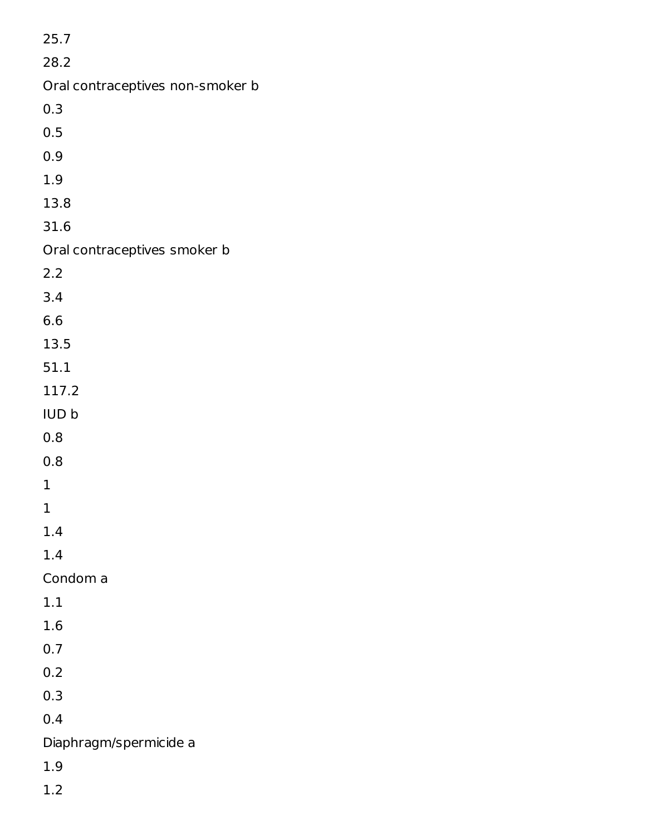| 25.7                             |
|----------------------------------|
| 28.2                             |
| Oral contraceptives non-smoker b |
| 0.3                              |
| 0.5                              |
| 0.9                              |
| 1.9                              |
| 13.8                             |
| 31.6                             |
| Oral contraceptives smoker b     |
| 2.2                              |
| 3.4                              |
| 6.6                              |
| 13.5                             |
| 51.1                             |
| 117.2                            |
| <b>IUD b</b>                     |
| 0.8                              |
| 0.8                              |
| 1                                |
| 1                                |
| 1.4                              |
| 1.4                              |
| Condom a                         |
| 1.1                              |
| 1.6                              |
| 0.7                              |
| 0.2                              |
| 0.3                              |
| 0.4                              |
| Diaphragm/spermicide a           |
| 1.9                              |
| 1.2                              |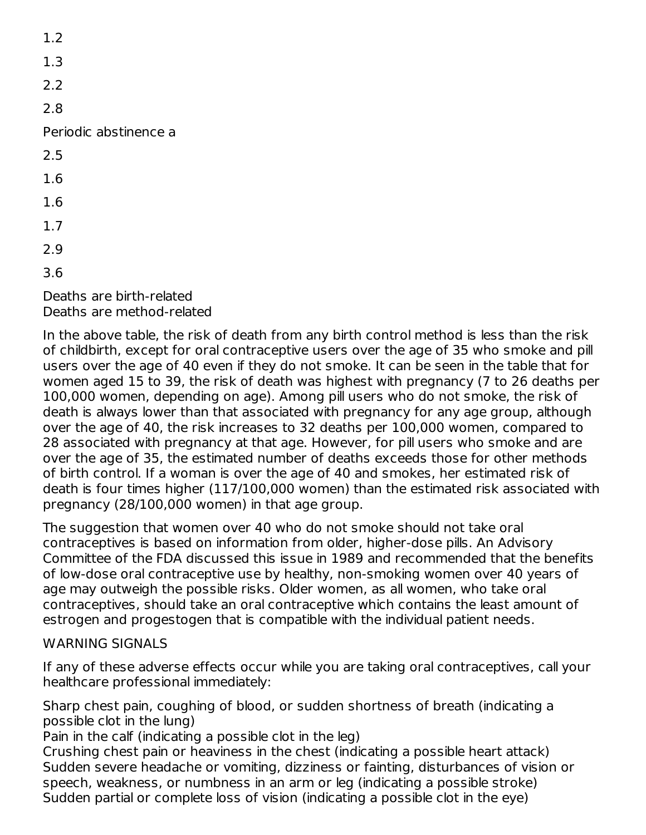| 1.2                      |
|--------------------------|
| 1.3                      |
| 2.2                      |
| 2.8                      |
| Periodic abstinence a    |
| 2.5                      |
| 1.6                      |
| 1.6                      |
| 1.7                      |
| 2.9                      |
| 3.6                      |
| Doothe are birth related |

Deaths are birth-related Deaths are method-related

In the above table, the risk of death from any birth control method is less than the risk of childbirth, except for oral contraceptive users over the age of 35 who smoke and pill users over the age of 40 even if they do not smoke. It can be seen in the table that for women aged 15 to 39, the risk of death was highest with pregnancy (7 to 26 deaths per 100,000 women, depending on age). Among pill users who do not smoke, the risk of death is always lower than that associated with pregnancy for any age group, although over the age of 40, the risk increases to 32 deaths per 100,000 women, compared to 28 associated with pregnancy at that age. However, for pill users who smoke and are over the age of 35, the estimated number of deaths exceeds those for other methods of birth control. If a woman is over the age of 40 and smokes, her estimated risk of death is four times higher (117/100,000 women) than the estimated risk associated with pregnancy (28/100,000 women) in that age group.

The suggestion that women over 40 who do not smoke should not take oral contraceptives is based on information from older, higher-dose pills. An Advisory Committee of the FDA discussed this issue in 1989 and recommended that the benefits of low-dose oral contraceptive use by healthy, non-smoking women over 40 years of age may outweigh the possible risks. Older women, as all women, who take oral contraceptives, should take an oral contraceptive which contains the least amount of estrogen and progestogen that is compatible with the individual patient needs.

#### WARNING SIGNALS

If any of these adverse effects occur while you are taking oral contraceptives, call your healthcare professional immediately:

Sharp chest pain, coughing of blood, or sudden shortness of breath (indicating a possible clot in the lung)

Pain in the calf (indicating a possible clot in the leg)

Crushing chest pain or heaviness in the chest (indicating a possible heart attack) Sudden severe headache or vomiting, dizziness or fainting, disturbances of vision or speech, weakness, or numbness in an arm or leg (indicating a possible stroke) Sudden partial or complete loss of vision (indicating a possible clot in the eye)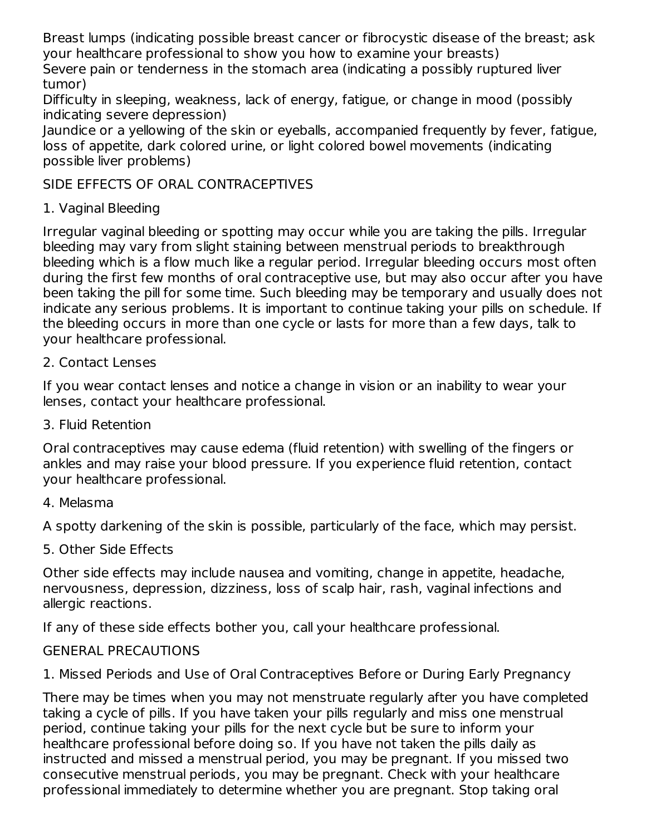Breast lumps (indicating possible breast cancer or fibrocystic disease of the breast; ask your healthcare professional to show you how to examine your breasts)

Severe pain or tenderness in the stomach area (indicating a possibly ruptured liver tumor)

Difficulty in sleeping, weakness, lack of energy, fatigue, or change in mood (possibly indicating severe depression)

Jaundice or a yellowing of the skin or eyeballs, accompanied frequently by fever, fatigue, loss of appetite, dark colored urine, or light colored bowel movements (indicating possible liver problems)

### SIDE EFFECTS OF ORAL CONTRACEPTIVES

### 1. Vaginal Bleeding

Irregular vaginal bleeding or spotting may occur while you are taking the pills. Irregular bleeding may vary from slight staining between menstrual periods to breakthrough bleeding which is a flow much like a regular period. Irregular bleeding occurs most often during the first few months of oral contraceptive use, but may also occur after you have been taking the pill for some time. Such bleeding may be temporary and usually does not indicate any serious problems. It is important to continue taking your pills on schedule. If the bleeding occurs in more than one cycle or lasts for more than a few days, talk to your healthcare professional.

### 2. Contact Lenses

If you wear contact lenses and notice a change in vision or an inability to wear your lenses, contact your healthcare professional.

#### 3. Fluid Retention

Oral contraceptives may cause edema (fluid retention) with swelling of the fingers or ankles and may raise your blood pressure. If you experience fluid retention, contact your healthcare professional.

#### 4. Melasma

A spotty darkening of the skin is possible, particularly of the face, which may persist.

### 5. Other Side Effects

Other side effects may include nausea and vomiting, change in appetite, headache, nervousness, depression, dizziness, loss of scalp hair, rash, vaginal infections and allergic reactions.

If any of these side effects bother you, call your healthcare professional.

### GENERAL PRECAUTIONS

1. Missed Periods and Use of Oral Contraceptives Before or During Early Pregnancy

There may be times when you may not menstruate regularly after you have completed taking a cycle of pills. If you have taken your pills regularly and miss one menstrual period, continue taking your pills for the next cycle but be sure to inform your healthcare professional before doing so. If you have not taken the pills daily as instructed and missed a menstrual period, you may be pregnant. If you missed two consecutive menstrual periods, you may be pregnant. Check with your healthcare professional immediately to determine whether you are pregnant. Stop taking oral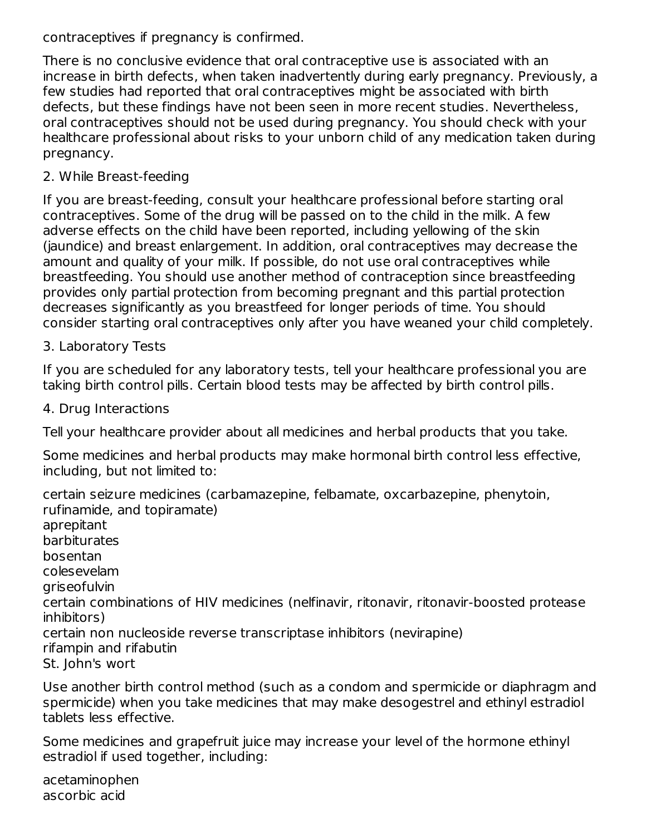contraceptives if pregnancy is confirmed.

There is no conclusive evidence that oral contraceptive use is associated with an increase in birth defects, when taken inadvertently during early pregnancy. Previously, a few studies had reported that oral contraceptives might be associated with birth defects, but these findings have not been seen in more recent studies. Nevertheless, oral contraceptives should not be used during pregnancy. You should check with your healthcare professional about risks to your unborn child of any medication taken during pregnancy.

### 2. While Breast-feeding

If you are breast-feeding, consult your healthcare professional before starting oral contraceptives. Some of the drug will be passed on to the child in the milk. A few adverse effects on the child have been reported, including yellowing of the skin (jaundice) and breast enlargement. In addition, oral contraceptives may decrease the amount and quality of your milk. If possible, do not use oral contraceptives while breastfeeding. You should use another method of contraception since breastfeeding provides only partial protection from becoming pregnant and this partial protection decreases significantly as you breastfeed for longer periods of time. You should consider starting oral contraceptives only after you have weaned your child completely.

### 3. Laboratory Tests

If you are scheduled for any laboratory tests, tell your healthcare professional you are taking birth control pills. Certain blood tests may be affected by birth control pills.

4. Drug Interactions

Tell your healthcare provider about all medicines and herbal products that you take.

Some medicines and herbal products may make hormonal birth control less effective, including, but not limited to:

certain seizure medicines (carbamazepine, felbamate, oxcarbazepine, phenytoin, rufinamide, and topiramate) aprepitant barbiturates bosentan colesevelam griseofulvin certain combinations of HIV medicines (nelfinavir, ritonavir, ritonavir-boosted protease inhibitors) certain non nucleoside reverse transcriptase inhibitors (nevirapine) rifampin and rifabutin St. John's wort

Use another birth control method (such as a condom and spermicide or diaphragm and spermicide) when you take medicines that may make desogestrel and ethinyl estradiol tablets less effective.

Some medicines and grapefruit juice may increase your level of the hormone ethinyl estradiol if used together, including:

acetaminophen ascorbic acid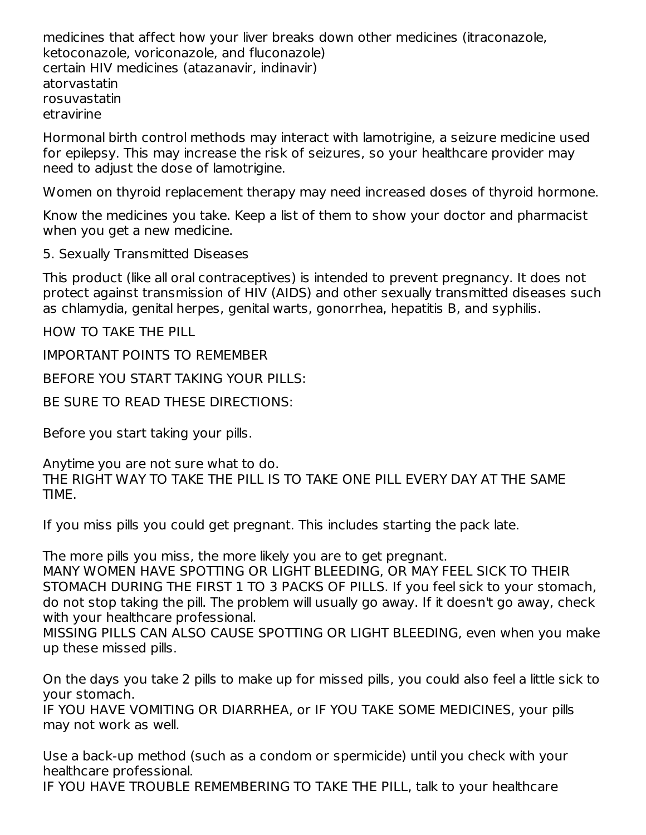medicines that affect how your liver breaks down other medicines (itraconazole, ketoconazole, voriconazole, and fluconazole) certain HIV medicines (atazanavir, indinavir) atorvastatin rosuvastatin etravirine

Hormonal birth control methods may interact with lamotrigine, a seizure medicine used for epilepsy. This may increase the risk of seizures, so your healthcare provider may need to adjust the dose of lamotrigine.

Women on thyroid replacement therapy may need increased doses of thyroid hormone.

Know the medicines you take. Keep a list of them to show your doctor and pharmacist when you get a new medicine.

5. Sexually Transmitted Diseases

This product (like all oral contraceptives) is intended to prevent pregnancy. It does not protect against transmission of HIV (AIDS) and other sexually transmitted diseases such as chlamydia, genital herpes, genital warts, gonorrhea, hepatitis B, and syphilis.

HOW TO TAKE THE PILL

IMPORTANT POINTS TO REMEMBER

BEFORE YOU START TAKING YOUR PILLS:

BE SURE TO READ THESE DIRECTIONS:

Before you start taking your pills.

Anytime you are not sure what to do. THE RIGHT WAY TO TAKE THE PILL IS TO TAKE ONE PILL EVERY DAY AT THE SAME TIME.

If you miss pills you could get pregnant. This includes starting the pack late.

The more pills you miss, the more likely you are to get pregnant.

MANY WOMEN HAVE SPOTTING OR LIGHT BLEEDING, OR MAY FEEL SICK TO THEIR STOMACH DURING THE FIRST 1 TO 3 PACKS OF PILLS. If you feel sick to your stomach, do not stop taking the pill. The problem will usually go away. If it doesn't go away, check with your healthcare professional.

MISSING PILLS CAN ALSO CAUSE SPOTTING OR LIGHT BLEEDING, even when you make up these missed pills.

On the days you take 2 pills to make up for missed pills, you could also feel a little sick to your stomach.

IF YOU HAVE VOMITING OR DIARRHEA, or IF YOU TAKE SOME MEDICINES, your pills may not work as well.

Use a back-up method (such as a condom or spermicide) until you check with your healthcare professional. IF YOU HAVE TROUBLE REMEMBERING TO TAKE THE PILL, talk to your healthcare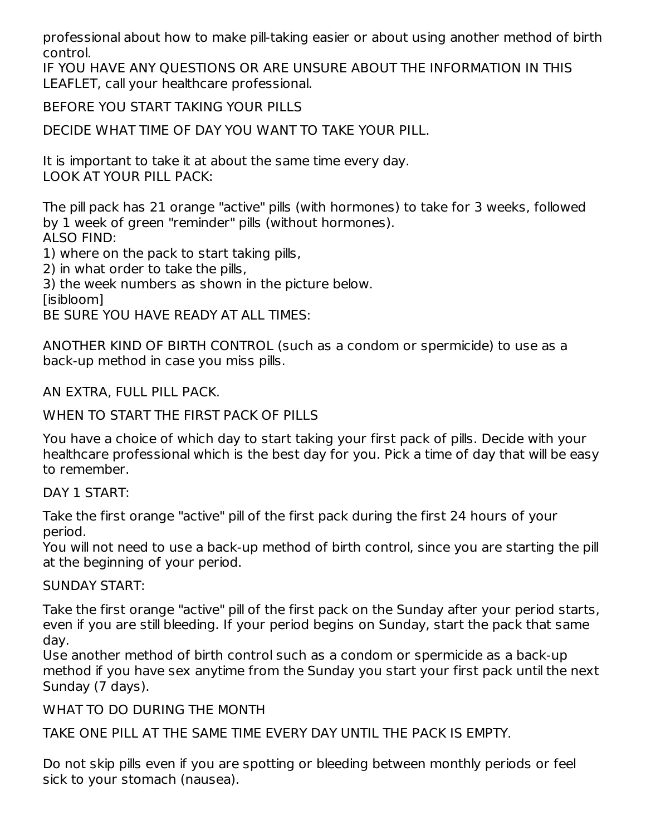professional about how to make pill-taking easier or about using another method of birth control.

IF YOU HAVE ANY QUESTIONS OR ARE UNSURE ABOUT THE INFORMATION IN THIS LEAFLET, call your healthcare professional.

BEFORE YOU START TAKING YOUR PILLS

DECIDE WHAT TIME OF DAY YOU WANT TO TAKE YOUR PILL.

It is important to take it at about the same time every day. LOOK AT YOUR PILL PACK:

The pill pack has 21 orange "active" pills (with hormones) to take for 3 weeks, followed by 1 week of green "reminder" pills (without hormones). ALSO FIND:

1) where on the pack to start taking pills,

2) in what order to take the pills,

3) the week numbers as shown in the picture below.

[isibloom]

BE SURE YOU HAVE READY AT ALL TIMES:

ANOTHER KIND OF BIRTH CONTROL (such as a condom or spermicide) to use as a back-up method in case you miss pills.

AN EXTRA, FULL PILL PACK.

WHEN TO START THE FIRST PACK OF PILLS

You have a choice of which day to start taking your first pack of pills. Decide with your healthcare professional which is the best day for you. Pick a time of day that will be easy to remember.

DAY 1 START:

Take the first orange "active" pill of the first pack during the first 24 hours of your period.

You will not need to use a back-up method of birth control, since you are starting the pill at the beginning of your period.

#### SUNDAY START:

Take the first orange "active" pill of the first pack on the Sunday after your period starts, even if you are still bleeding. If your period begins on Sunday, start the pack that same day.

Use another method of birth control such as a condom or spermicide as a back-up method if you have sex anytime from the Sunday you start your first pack until the next Sunday (7 days).

WHAT TO DO DURING THE MONTH

TAKE ONE PILL AT THE SAME TIME EVERY DAY UNTIL THE PACK IS EMPTY.

Do not skip pills even if you are spotting or bleeding between monthly periods or feel sick to your stomach (nausea).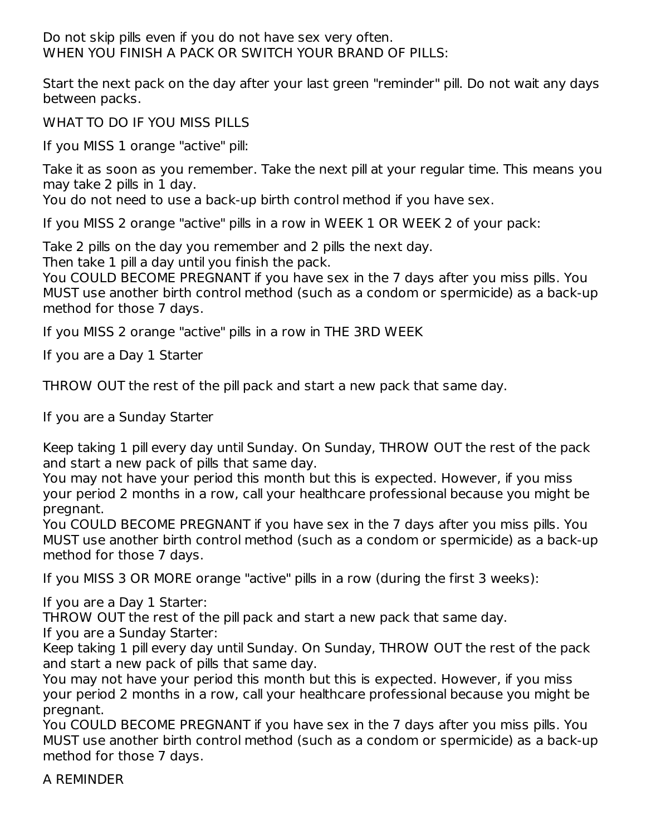Do not skip pills even if you do not have sex very often. WHEN YOU FINISH A PACK OR SWITCH YOUR BRAND OF PILLS:

Start the next pack on the day after your last green "reminder" pill. Do not wait any days between packs.

WHAT TO DO IF YOU MISS PILLS

If you MISS 1 orange "active" pill:

Take it as soon as you remember. Take the next pill at your regular time. This means you may take 2 pills in 1 day.

You do not need to use a back-up birth control method if you have sex.

If you MISS 2 orange "active" pills in a row in WEEK 1 OR WEEK 2 of your pack:

Take 2 pills on the day you remember and 2 pills the next day.

Then take 1 pill a day until you finish the pack.

You COULD BECOME PREGNANT if you have sex in the 7 days after you miss pills. You MUST use another birth control method (such as a condom or spermicide) as a back-up method for those 7 days.

If you MISS 2 orange "active" pills in a row in THE 3RD WEEK

If you are a Day 1 Starter

THROW OUT the rest of the pill pack and start a new pack that same day.

If you are a Sunday Starter

Keep taking 1 pill every day until Sunday. On Sunday, THROW OUT the rest of the pack and start a new pack of pills that same day.

You may not have your period this month but this is expected. However, if you miss your period 2 months in a row, call your healthcare professional because you might be pregnant.

You COULD BECOME PREGNANT if you have sex in the 7 days after you miss pills. You MUST use another birth control method (such as a condom or spermicide) as a back-up method for those 7 days.

If you MISS 3 OR MORE orange "active" pills in a row (during the first 3 weeks):

If you are a Day 1 Starter:

THROW OUT the rest of the pill pack and start a new pack that same day. If you are a Sunday Starter:

Keep taking 1 pill every day until Sunday. On Sunday, THROW OUT the rest of the pack and start a new pack of pills that same day.

You may not have your period this month but this is expected. However, if you miss your period 2 months in a row, call your healthcare professional because you might be pregnant.

You COULD BECOME PREGNANT if you have sex in the 7 days after you miss pills. You MUST use another birth control method (such as a condom or spermicide) as a back-up method for those 7 days.

A REMINDER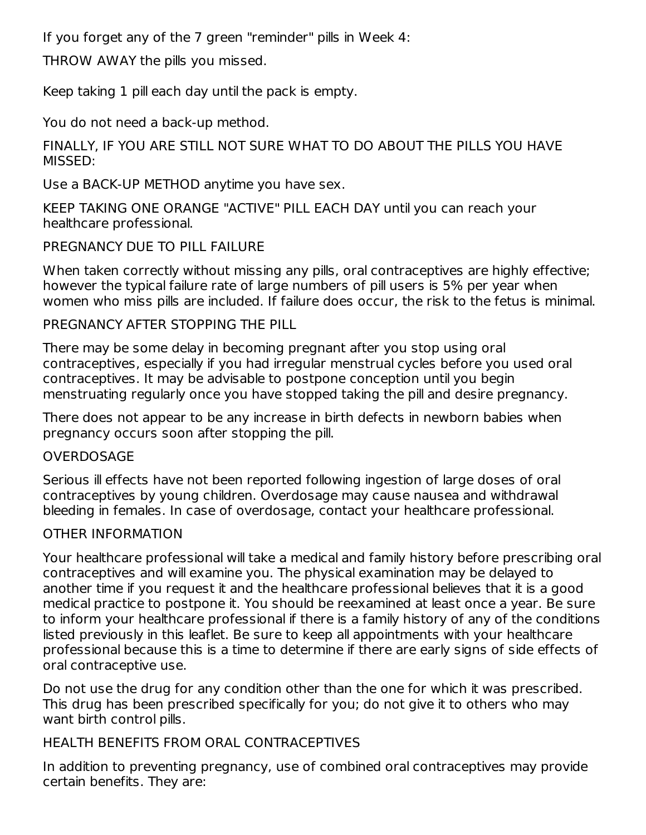If you forget any of the 7 green "reminder" pills in Week 4:

THROW AWAY the pills you missed.

Keep taking 1 pill each day until the pack is empty.

You do not need a back-up method.

FINALLY, IF YOU ARE STILL NOT SURE WHAT TO DO ABOUT THE PILLS YOU HAVE MISSED:

Use a BACK-UP METHOD anytime you have sex.

KEEP TAKING ONE ORANGE "ACTIVE" PILL EACH DAY until you can reach your healthcare professional.

### PREGNANCY DUE TO PILL FAILURE

When taken correctly without missing any pills, oral contraceptives are highly effective; however the typical failure rate of large numbers of pill users is 5% per year when women who miss pills are included. If failure does occur, the risk to the fetus is minimal.

#### PREGNANCY AFTER STOPPING THE PILL

There may be some delay in becoming pregnant after you stop using oral contraceptives, especially if you had irregular menstrual cycles before you used oral contraceptives. It may be advisable to postpone conception until you begin menstruating regularly once you have stopped taking the pill and desire pregnancy.

There does not appear to be any increase in birth defects in newborn babies when pregnancy occurs soon after stopping the pill.

#### OVERDOSAGE

Serious ill effects have not been reported following ingestion of large doses of oral contraceptives by young children. Overdosage may cause nausea and withdrawal bleeding in females. In case of overdosage, contact your healthcare professional.

#### OTHER INFORMATION

Your healthcare professional will take a medical and family history before prescribing oral contraceptives and will examine you. The physical examination may be delayed to another time if you request it and the healthcare professional believes that it is a good medical practice to postpone it. You should be reexamined at least once a year. Be sure to inform your healthcare professional if there is a family history of any of the conditions listed previously in this leaflet. Be sure to keep all appointments with your healthcare professional because this is a time to determine if there are early signs of side effects of oral contraceptive use.

Do not use the drug for any condition other than the one for which it was prescribed. This drug has been prescribed specifically for you; do not give it to others who may want birth control pills.

#### HEALTH BENEFITS FROM ORAL CONTRACEPTIVES

In addition to preventing pregnancy, use of combined oral contraceptives may provide certain benefits. They are: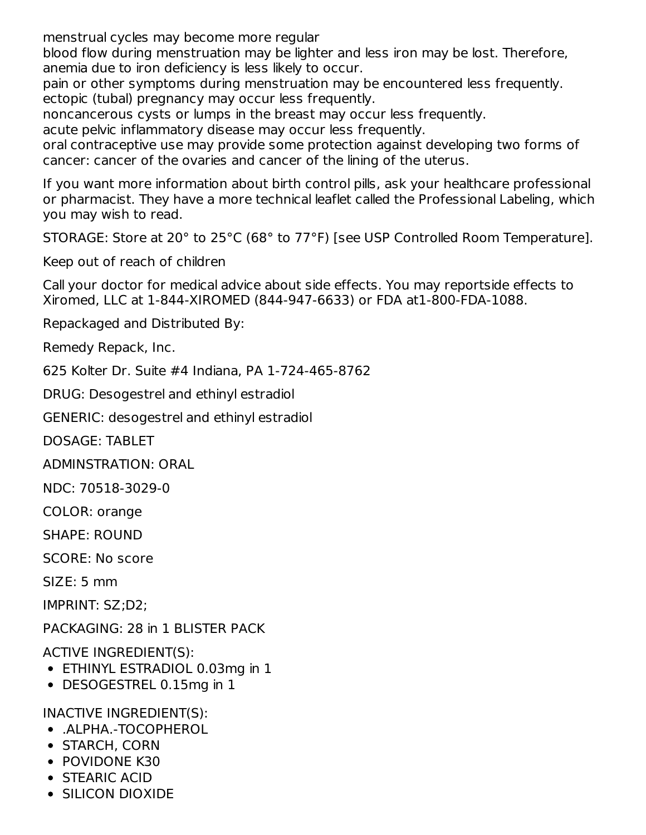menstrual cycles may become more regular

blood flow during menstruation may be lighter and less iron may be lost. Therefore, anemia due to iron deficiency is less likely to occur.

pain or other symptoms during menstruation may be encountered less frequently. ectopic (tubal) pregnancy may occur less frequently.

noncancerous cysts or lumps in the breast may occur less frequently.

acute pelvic inflammatory disease may occur less frequently.

oral contraceptive use may provide some protection against developing two forms of cancer: cancer of the ovaries and cancer of the lining of the uterus.

If you want more information about birth control pills, ask your healthcare professional or pharmacist. They have a more technical leaflet called the Professional Labeling, which you may wish to read.

STORAGE: Store at 20° to 25°C (68° to 77°F) [see USP Controlled Room Temperature].

Keep out of reach of children

Call your doctor for medical advice about side effects. You may reportside effects to Xiromed, LLC at 1-844-XIROMED (844-947-6633) or FDA at1-800-FDA-1088.

Repackaged and Distributed By:

Remedy Repack, Inc.

625 Kolter Dr. Suite #4 Indiana, PA 1-724-465-8762

DRUG: Desogestrel and ethinyl estradiol

GENERIC: desogestrel and ethinyl estradiol

DOSAGE: TABLET

ADMINSTRATION: ORAL

NDC: 70518-3029-0

COLOR: orange

SHAPE: ROUND

SCORE: No score

SIZE: 5 mm

IMPRINT: SZ;D2;

PACKAGING: 28 in 1 BLISTER PACK

ACTIVE INGREDIENT(S):

- ETHINYL ESTRADIOL 0.03mg in 1
- DESOGESTREL 0.15mg in 1

INACTIVE INGREDIENT(S):

- .ALPHA.-TOCOPHEROL
- STARCH, CORN
- POVIDONE K30
- STEARIC ACID
- SILICON DIOXIDE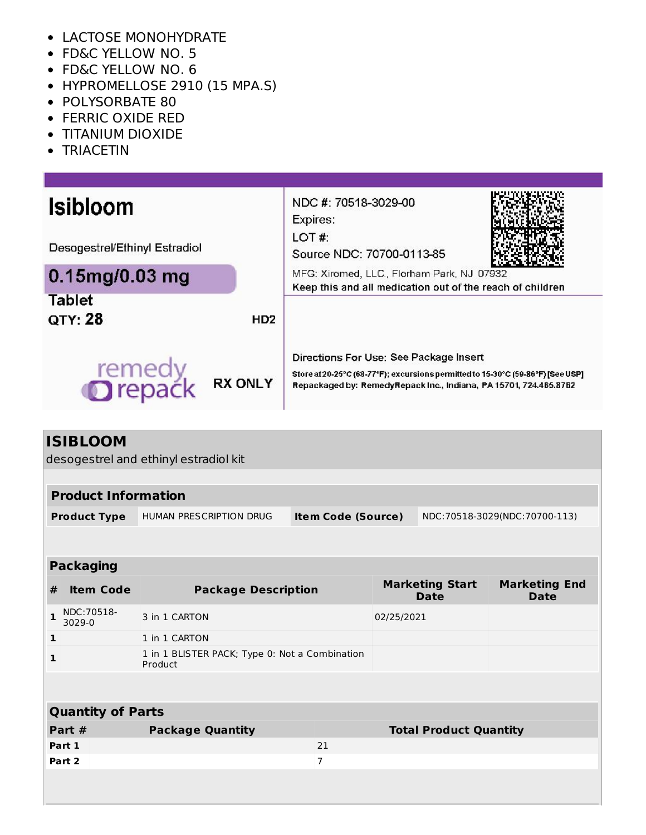- LACTOSE MONOHYDRATE
- FD&C YELLOW NO. 5
- FD&C YELLOW NO. 6
- HYPROMELLOSE 2910 (15 MPA.S)
- POLYSORBATE 80
- FERRIC OXIDE RED
- TITANIUM DIOXIDE
- TRIACETIN

| <b>Isibloom</b>                            |                 | NDC #: 70518-3029-00<br>Expires:                                                                                                                                                               |  |  |  |  |
|--------------------------------------------|-----------------|------------------------------------------------------------------------------------------------------------------------------------------------------------------------------------------------|--|--|--|--|
| Desogestrel/Ethinyl Estradiol              |                 | LOT#<br>Source NDC: 70700-0113-85                                                                                                                                                              |  |  |  |  |
| $0.15$ mg/0.03 mg                          |                 | MFG: Xiromed, LLC., Florham Park, NJ 07932<br>Keep this and all medication out of the reach of children                                                                                        |  |  |  |  |
| <b>Tablet</b><br>QTY: 28                   | HD <sub>2</sub> |                                                                                                                                                                                                |  |  |  |  |
| remedy<br><b>Prepack</b><br><b>RX ONLY</b> |                 | Directions For Use: See Package Insert<br>Store at 20-25°C (68-77°F); excursions permitted to 15-30°C (59-86°F) [See USP]<br>Repackaged by: RemedyRepack Inc., Indiana, PA 15701, 724.465.8762 |  |  |  |  |

|                                       | <b>ISIBLOOM</b>            |                                                           |                           |                                       |                               |                                     |  |  |  |
|---------------------------------------|----------------------------|-----------------------------------------------------------|---------------------------|---------------------------------------|-------------------------------|-------------------------------------|--|--|--|
| desogestrel and ethinyl estradiol kit |                            |                                                           |                           |                                       |                               |                                     |  |  |  |
|                                       |                            |                                                           |                           |                                       |                               |                                     |  |  |  |
|                                       | <b>Product Information</b> |                                                           |                           |                                       |                               |                                     |  |  |  |
|                                       | <b>Product Type</b>        | <b>HUMAN PRESCRIPTION DRUG</b>                            | <b>Item Code (Source)</b> | NDC:70518-3029(NDC:70700-113)         |                               |                                     |  |  |  |
|                                       |                            |                                                           |                           |                                       |                               |                                     |  |  |  |
|                                       | <b>Packaging</b>           |                                                           |                           |                                       |                               |                                     |  |  |  |
|                                       |                            |                                                           |                           |                                       |                               |                                     |  |  |  |
| #                                     | <b>Item Code</b>           | <b>Package Description</b>                                |                           | <b>Marketing Start</b><br><b>Date</b> |                               | <b>Marketing End</b><br><b>Date</b> |  |  |  |
| 1                                     | NDC: 70518-<br>3029-0      | 3 in 1 CARTON                                             |                           | 02/25/2021                            |                               |                                     |  |  |  |
| 1                                     |                            | 1 in 1 CARTON                                             |                           |                                       |                               |                                     |  |  |  |
| 1                                     |                            | 1 in 1 BLISTER PACK; Type 0: Not a Combination<br>Product |                           |                                       |                               |                                     |  |  |  |
|                                       |                            |                                                           |                           |                                       |                               |                                     |  |  |  |
|                                       | <b>Quantity of Parts</b>   |                                                           |                           |                                       |                               |                                     |  |  |  |
|                                       | Part #                     | <b>Package Quantity</b>                                   |                           |                                       | <b>Total Product Quantity</b> |                                     |  |  |  |
|                                       | Part 1                     |                                                           | 21                        |                                       |                               |                                     |  |  |  |
|                                       | Part 2                     |                                                           | 7                         |                                       |                               |                                     |  |  |  |
|                                       |                            |                                                           |                           |                                       |                               |                                     |  |  |  |
|                                       |                            |                                                           |                           |                                       |                               |                                     |  |  |  |
|                                       |                            |                                                           |                           |                                       |                               |                                     |  |  |  |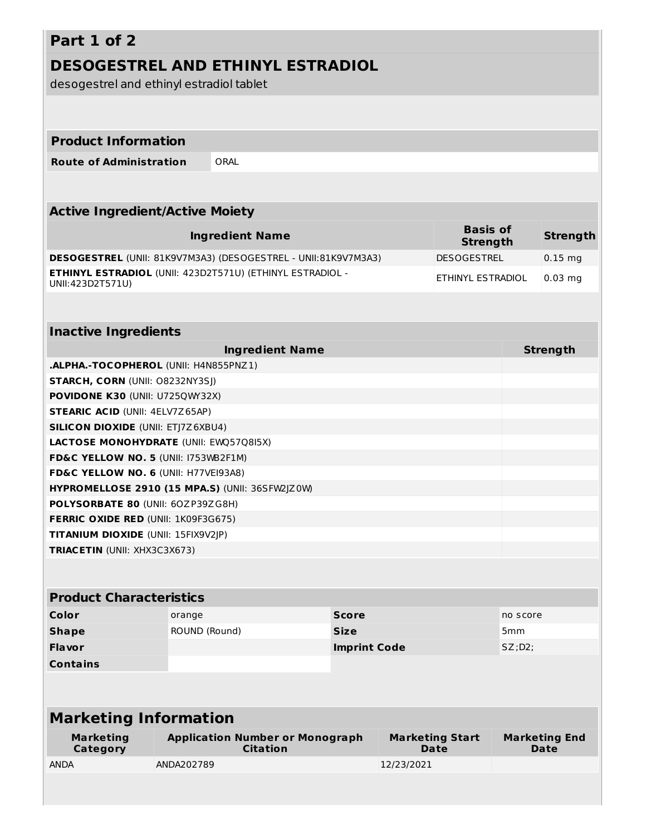# **Part 1 of 2**

## **DESOGESTREL AND ETHINYL ESTRADIOL**

desogestrel and ethinyl estradiol tablet

| <b>Product Information</b>                                        |            |                                                                |              |            |                                       |          |                                     |
|-------------------------------------------------------------------|------------|----------------------------------------------------------------|--------------|------------|---------------------------------------|----------|-------------------------------------|
| <b>Route of Administration</b>                                    |            | ORAL                                                           |              |            |                                       |          |                                     |
|                                                                   |            |                                                                |              |            |                                       |          |                                     |
| <b>Active Ingredient/Active Moiety</b>                            |            |                                                                |              |            |                                       |          |                                     |
|                                                                   |            | <b>Ingredient Name</b>                                         |              |            | <b>Basis of</b><br><b>Strength</b>    |          | <b>Strength</b>                     |
|                                                                   |            | DESOGESTREL (UNII: 81K9V7M3A3) (DESOGESTREL - UNII:81K9V7M3A3) |              |            | <b>DESOGESTREL</b>                    |          | $0.15$ mg                           |
| UNII:423D2T571U)                                                  |            | ETHINYL ESTRADIOL (UNII: 423D2T571U) (ETHINYL ESTRADIOL -      |              |            | ETHINYL ESTRADIOL                     |          | $0.03$ mg                           |
|                                                                   |            |                                                                |              |            |                                       |          |                                     |
| <b>Inactive Ingredients</b>                                       |            |                                                                |              |            |                                       |          |                                     |
|                                                                   |            | <b>Ingredient Name</b>                                         |              |            |                                       |          | <b>Strength</b>                     |
| .ALPHA.-TOCOPHEROL (UNII: H4N855PNZ1)                             |            |                                                                |              |            |                                       |          |                                     |
| STARCH, CORN (UNII: O8232NY3SJ)                                   |            |                                                                |              |            |                                       |          |                                     |
| <b>POVIDONE K30 (UNII: U725QWY32X)</b>                            |            |                                                                |              |            |                                       |          |                                     |
| <b>STEARIC ACID (UNII: 4ELV7Z65AP)</b>                            |            |                                                                |              |            |                                       |          |                                     |
| <b>SILICON DIOXIDE (UNII: ETJ7Z6XBU4)</b>                         |            |                                                                |              |            |                                       |          |                                     |
| LACTOSE MONOHYDRATE (UNII: EWQ57Q8I5X)                            |            |                                                                |              |            |                                       |          |                                     |
| FD&C YELLOW NO. 5 (UNII: I753WB2F1M)                              |            |                                                                |              |            |                                       |          |                                     |
| FD&C YELLOW NO. 6 (UNII: H77VEI93A8)                              |            |                                                                |              |            |                                       |          |                                     |
| HYPROMELLOSE 2910 (15 MPA.S) (UNII: 36SFW2JZ0W)                   |            |                                                                |              |            |                                       |          |                                     |
| POLYSORBATE 80 (UNII: 60ZP39ZG8H)                                 |            |                                                                |              |            |                                       |          |                                     |
| <b>FERRIC OXIDE RED (UNII: 1K09F3G675)</b>                        |            |                                                                |              |            |                                       |          |                                     |
| <b>TITANIUM DIOXIDE (UNII: 15FIX9V2JP)</b>                        |            |                                                                |              |            |                                       |          |                                     |
| <b>TRIACETIN (UNII: XHX3C3X673)</b>                               |            |                                                                |              |            |                                       |          |                                     |
|                                                                   |            |                                                                |              |            |                                       |          |                                     |
| <b>Product Characteristics</b>                                    |            |                                                                |              |            |                                       |          |                                     |
| Color                                                             | orange     |                                                                | <b>Score</b> |            |                                       | no score |                                     |
| <b>Shape</b>                                                      |            |                                                                | <b>Size</b>  |            |                                       | 5mm      |                                     |
| ROUND (Round)                                                     |            |                                                                |              |            |                                       |          |                                     |
| <b>Flavor</b><br>SZ;D2;<br><b>Imprint Code</b><br><b>Contains</b> |            |                                                                |              |            |                                       |          |                                     |
|                                                                   |            |                                                                |              |            |                                       |          |                                     |
|                                                                   |            |                                                                |              |            |                                       |          |                                     |
| <b>Marketing Information</b>                                      |            |                                                                |              |            |                                       |          |                                     |
| <b>Marketing</b><br>Category                                      |            | <b>Application Number or Monograph</b><br><b>Citation</b>      |              |            | <b>Marketing Start</b><br><b>Date</b> |          | <b>Marketing End</b><br><b>Date</b> |
| <b>ANDA</b>                                                       | ANDA202789 |                                                                |              | 12/23/2021 |                                       |          |                                     |
|                                                                   |            |                                                                |              |            |                                       |          |                                     |